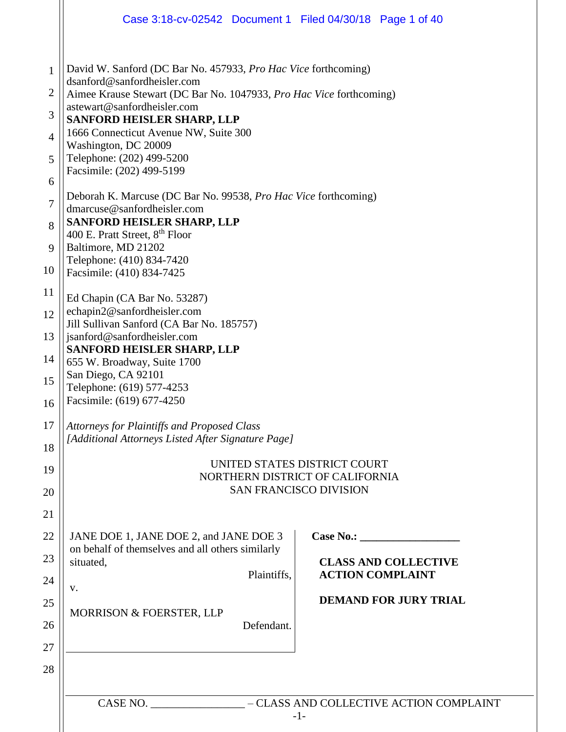|                | Case 3:18-cv-02542 Document 1 Filed 04/30/18 Page 1 of 40                                                |                              |  |  |  |  |  |
|----------------|----------------------------------------------------------------------------------------------------------|------------------------------|--|--|--|--|--|
| $\mathbf{1}$   | David W. Sanford (DC Bar No. 457933, Pro Hac Vice forthcoming)                                           |                              |  |  |  |  |  |
| $\overline{2}$ | dsanford@sanfordheisler.com<br>Aimee Krause Stewart (DC Bar No. 1047933, Pro Hac Vice forthcoming)       |                              |  |  |  |  |  |
| 3              | astewart@sanfordheisler.com<br><b>SANFORD HEISLER SHARP, LLP</b>                                         |                              |  |  |  |  |  |
| $\overline{4}$ | 1666 Connecticut Avenue NW, Suite 300<br>Washington, DC 20009<br>Telephone: (202) 499-5200               |                              |  |  |  |  |  |
| 5              |                                                                                                          |                              |  |  |  |  |  |
| 6              | Facsimile: (202) 499-5199                                                                                |                              |  |  |  |  |  |
| $\overline{7}$ | Deborah K. Marcuse (DC Bar No. 99538, Pro Hac Vice forthcoming)<br>dmarcuse@sanfordheisler.com           |                              |  |  |  |  |  |
| 8              | SANFORD HEISLER SHARP, LLP<br>400 E. Pratt Street, 8 <sup>th</sup> Floor                                 |                              |  |  |  |  |  |
| 9              | Baltimore, MD 21202                                                                                      |                              |  |  |  |  |  |
| 10             | Telephone: (410) 834-7420<br>Facsimile: (410) 834-7425                                                   |                              |  |  |  |  |  |
| 11             | Ed Chapin (CA Bar No. 53287)                                                                             |                              |  |  |  |  |  |
| 12             | echapin2@sanfordheisler.com<br>Jill Sullivan Sanford (CA Bar No. 185757)                                 |                              |  |  |  |  |  |
| 13             | jsanford@sanfordheisler.com                                                                              |                              |  |  |  |  |  |
| 14             | <b>SANFORD HEISLER SHARP, LLP</b><br>655 W. Broadway, Suite 1700                                         |                              |  |  |  |  |  |
| 15             | San Diego, CA 92101<br>Telephone: (619) 577-4253                                                         |                              |  |  |  |  |  |
| 16             | Facsimile: (619) 677-4250                                                                                |                              |  |  |  |  |  |
| 17             | <b>Attorneys for Plaintiffs and Proposed Class</b><br>[Additional Attorneys Listed After Signature Page] |                              |  |  |  |  |  |
| 18             |                                                                                                          |                              |  |  |  |  |  |
| 19             | UNITED STATES DISTRICT COURT<br>NORTHERN DISTRICT OF CALIFORNIA                                          |                              |  |  |  |  |  |
| 20             | <b>SAN FRANCISCO DIVISION</b>                                                                            |                              |  |  |  |  |  |
| 21             |                                                                                                          |                              |  |  |  |  |  |
| 22             | JANE DOE 1, JANE DOE 2, and JANE DOE 3<br>on behalf of themselves and all others similarly               | Case No.:                    |  |  |  |  |  |
| 23             | situated,                                                                                                | <b>CLASS AND COLLECTIVE</b>  |  |  |  |  |  |
| 24             | Plaintiffs,<br>V.                                                                                        | <b>ACTION COMPLAINT</b>      |  |  |  |  |  |
| 25             | MORRISON & FOERSTER, LLP                                                                                 | <b>DEMAND FOR JURY TRIAL</b> |  |  |  |  |  |
| 26             | Defendant.                                                                                               |                              |  |  |  |  |  |
| 27             |                                                                                                          |                              |  |  |  |  |  |
| 28             |                                                                                                          |                              |  |  |  |  |  |
|                | CASE NO. _________________ – CLASS AND COLLECTIVE ACTION COMPLAINT                                       |                              |  |  |  |  |  |
|                | $-1-$                                                                                                    |                              |  |  |  |  |  |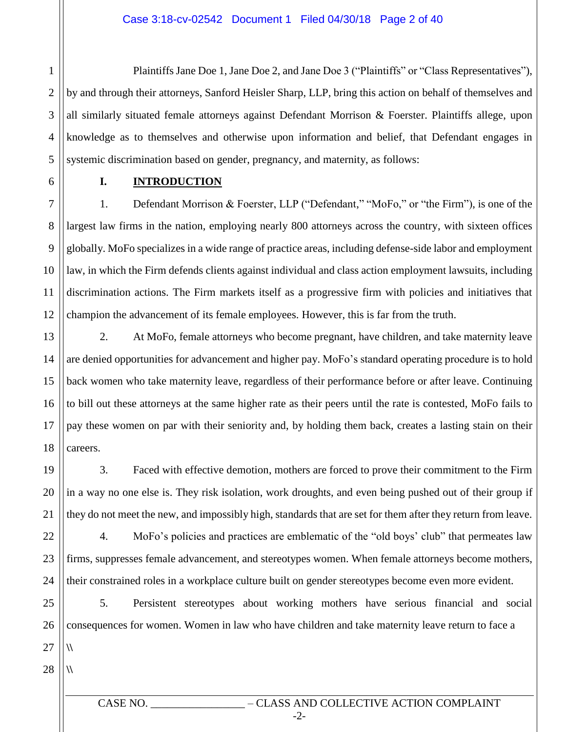1 2 3 4 5 Plaintiffs Jane Doe 1, Jane Doe 2, and Jane Doe 3 ("Plaintiffs" or "Class Representatives"), by and through their attorneys, Sanford Heisler Sharp, LLP, bring this action on behalf of themselves and all similarly situated female attorneys against Defendant Morrison & Foerster. Plaintiffs allege, upon knowledge as to themselves and otherwise upon information and belief, that Defendant engages in systemic discrimination based on gender, pregnancy, and maternity, as follows:

6

7

8

9

10

11

12

19

20

21

#### **I. INTRODUCTION**

1. Defendant Morrison & Foerster, LLP ("Defendant," "MoFo," or "the Firm"), is one of the largest law firms in the nation, employing nearly 800 attorneys across the country, with sixteen offices globally. MoFo specializes in a wide range of practice areas, including defense-side labor and employment law, in which the Firm defends clients against individual and class action employment lawsuits, including discrimination actions. The Firm markets itself as a progressive firm with policies and initiatives that champion the advancement of its female employees. However, this is far from the truth.

13 14 15 16 17 18 2. At MoFo, female attorneys who become pregnant, have children, and take maternity leave are denied opportunities for advancement and higher pay. MoFo's standard operating procedure is to hold back women who take maternity leave, regardless of their performance before or after leave. Continuing to bill out these attorneys at the same higher rate as their peers until the rate is contested, MoFo fails to pay these women on par with their seniority and, by holding them back, creates a lasting stain on their careers.

3. Faced with effective demotion, mothers are forced to prove their commitment to the Firm in a way no one else is. They risk isolation, work droughts, and even being pushed out of their group if they do not meet the new, and impossibly high, standards that are set for them after they return from leave.

22 23 24 4. MoFo's policies and practices are emblematic of the "old boys' club" that permeates law firms, suppresses female advancement, and stereotypes women. When female attorneys become mothers, their constrained roles in a workplace culture built on gender stereotypes become even more evident.

25 26 5. Persistent stereotypes about working mothers have serious financial and social consequences for women. Women in law who have children and take maternity leave return to face a

-2-

27

**\\**

**\\**

28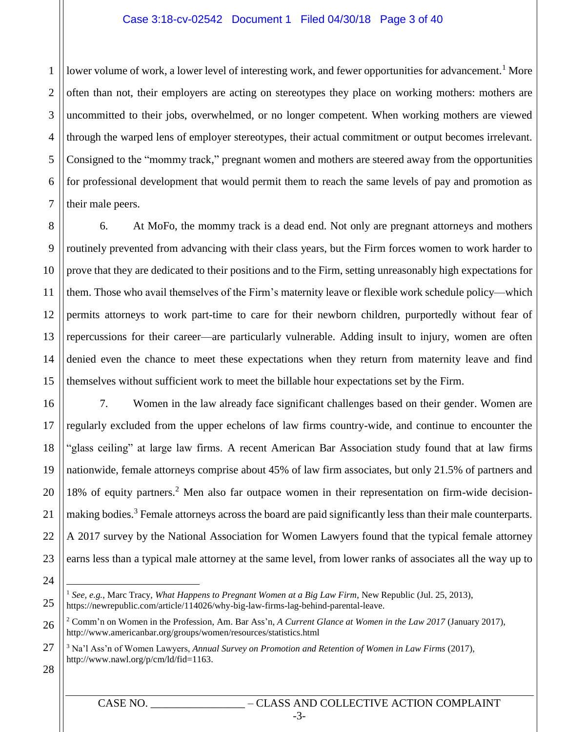#### Case 3:18-cv-02542 Document 1 Filed 04/30/18 Page 3 of 40

1 2 3 4 5 6 7 lower volume of work, a lower level of interesting work, and fewer opportunities for advancement.<sup>1</sup> More often than not, their employers are acting on stereotypes they place on working mothers: mothers are uncommitted to their jobs, overwhelmed, or no longer competent. When working mothers are viewed through the warped lens of employer stereotypes, their actual commitment or output becomes irrelevant. Consigned to the "mommy track," pregnant women and mothers are steered away from the opportunities for professional development that would permit them to reach the same levels of pay and promotion as their male peers.

8 9 10 11 12 13 14 15 6. At MoFo, the mommy track is a dead end. Not only are pregnant attorneys and mothers routinely prevented from advancing with their class years, but the Firm forces women to work harder to prove that they are dedicated to their positions and to the Firm, setting unreasonably high expectations for them. Those who avail themselves of the Firm's maternity leave or flexible work schedule policy—which permits attorneys to work part-time to care for their newborn children, purportedly without fear of repercussions for their career—are particularly vulnerable. Adding insult to injury, women are often denied even the chance to meet these expectations when they return from maternity leave and find themselves without sufficient work to meet the billable hour expectations set by the Firm.

7. Women in the law already face significant challenges based on their gender. Women are regularly excluded from the upper echelons of law firms country-wide, and continue to encounter the "glass ceiling" at large law firms. A recent American Bar Association study found that at law firms nationwide, female attorneys comprise about 45% of law firm associates, but only 21.5% of partners and 18% of equity partners.<sup>2</sup> Men also far outpace women in their representation on firm-wide decisionmaking bodies.<sup>3</sup> Female attorneys across the board are paid significantly less than their male counterparts. A 2017 survey by the National Association for Women Lawyers found that the typical female attorney earns less than a typical male attorney at the same level, from lower ranks of associates all the way up to

 $\overline{a}$ 

16

17

18

19

20

CASE NO.  $-CLASS AND COLLECTIVE ACTION COMPLAINT$ 

<sup>1</sup> *See, e.g.*, Marc Tracy, *What Happens to Pregnant Women at a Big Law Firm*, New Republic (Jul. 25, 2013), https://newrepublic.com/article/114026/why-big-law-firms-lag-behind-parental-leave.

<sup>2</sup> Comm'n on Women in the Profession, Am. Bar Ass'n, *A Current Glance at Women in the Law 2017* (January 2017), http://www.americanbar.org/groups/women/resources/statistics.html

<sup>3</sup> Na'l Ass'n of Women Lawyers, *Annual Survey on Promotion and Retention of Women in Law Firms* (2017), http://www.nawl.org/p/cm/ld/fid=1163.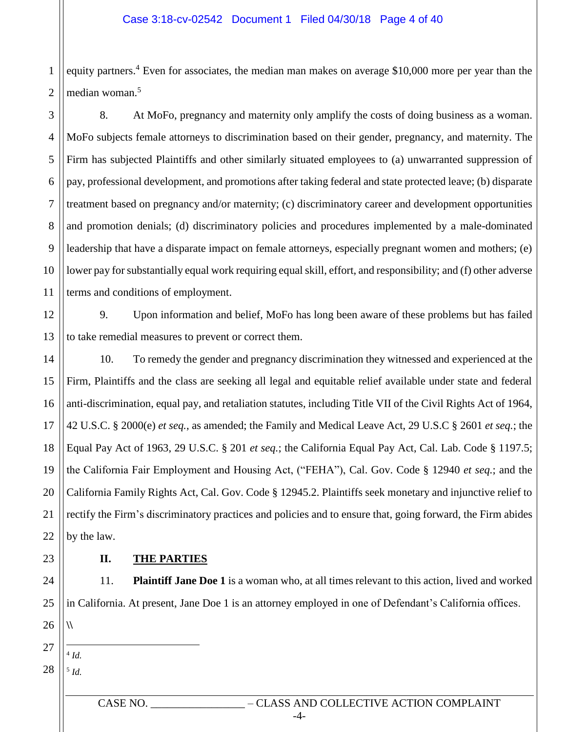1 2 equity partners.<sup>4</sup> Even for associates, the median man makes on average \$10,000 more per year than the median woman.<sup>5</sup>

3 4 5 6 7 8 9 10 11 8. At MoFo, pregnancy and maternity only amplify the costs of doing business as a woman. MoFo subjects female attorneys to discrimination based on their gender, pregnancy, and maternity. The Firm has subjected Plaintiffs and other similarly situated employees to (a) unwarranted suppression of pay, professional development, and promotions after taking federal and state protected leave; (b) disparate treatment based on pregnancy and/or maternity; (c) discriminatory career and development opportunities and promotion denials; (d) discriminatory policies and procedures implemented by a male-dominated leadership that have a disparate impact on female attorneys, especially pregnant women and mothers; (e) lower pay for substantially equal work requiring equal skill, effort, and responsibility; and (f) other adverse terms and conditions of employment.

12 13 9. Upon information and belief, MoFo has long been aware of these problems but has failed to take remedial measures to prevent or correct them.

14 15 16 17 18 19 20 21 22 10. To remedy the gender and pregnancy discrimination they witnessed and experienced at the Firm, Plaintiffs and the class are seeking all legal and equitable relief available under state and federal anti-discrimination, equal pay, and retaliation statutes, including Title VII of the Civil Rights Act of 1964, 42 U.S.C. § 2000(e) *et seq.*, as amended; the Family and Medical Leave Act, 29 U.S.C § 2601 *et seq.*; the Equal Pay Act of 1963, 29 U.S.C. § 201 *et seq.*; the California Equal Pay Act, Cal. Lab. Code § 1197.5; the California Fair Employment and Housing Act, ("FEHA"), Cal. Gov. Code § 12940 *et seq.*; and the California Family Rights Act, Cal. Gov. Code § 12945.2. Plaintiffs seek monetary and injunctive relief to rectify the Firm's discriminatory practices and policies and to ensure that, going forward, the Firm abides by the law.

#### **II. THE PARTIES**

24 25 26 11. **Plaintiff Jane Doe 1** is a woman who, at all times relevant to this action, lived and worked in California. At present, Jane Doe 1 is an attorney employed in one of Defendant's California offices. **\\**

27

23

28 5 *Id.*

 $\overline{a}$ 4 *Id.*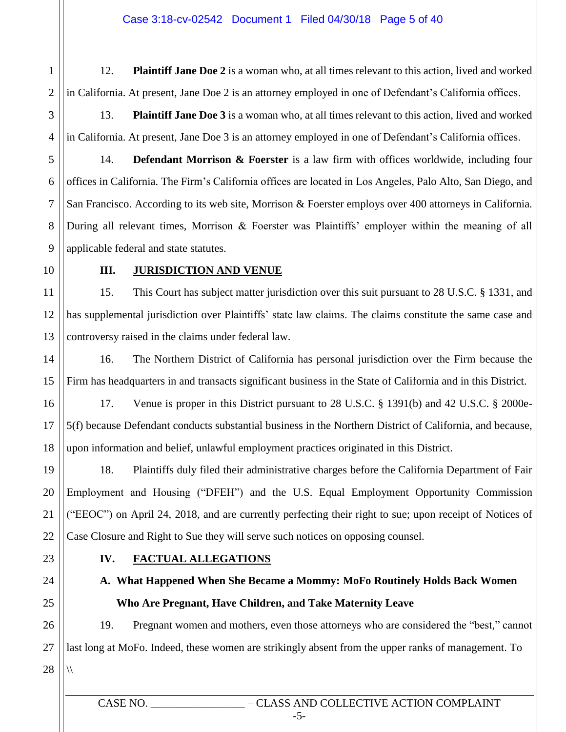1 2 12. **Plaintiff Jane Doe 2** is a woman who, at all times relevant to this action, lived and worked in California. At present, Jane Doe 2 is an attorney employed in one of Defendant's California offices.

13. **Plaintiff Jane Doe 3** is a woman who, at all times relevant to this action, lived and worked in California. At present, Jane Doe 3 is an attorney employed in one of Defendant's California offices.

14. **Defendant Morrison & Foerster** is a law firm with offices worldwide, including four offices in California. The Firm's California offices are located in Los Angeles, Palo Alto, San Diego, and San Francisco. According to its web site, Morrison & Foerster employs over 400 attorneys in California. During all relevant times, Morrison & Foerster was Plaintiffs' employer within the meaning of all applicable federal and state statutes.

10

3

4

5

6

7

8

9

#### **III. JURISDICTION AND VENUE**

11 12 13 15. This Court has subject matter jurisdiction over this suit pursuant to 28 U.S.C. § 1331, and has supplemental jurisdiction over Plaintiffs' state law claims. The claims constitute the same case and controversy raised in the claims under federal law.

14 15 16. The Northern District of California has personal jurisdiction over the Firm because the Firm has headquarters in and transacts significant business in the State of California and in this District.

16 17 18 17. Venue is proper in this District pursuant to 28 U.S.C. § 1391(b) and 42 U.S.C. § 2000e-5(f) because Defendant conducts substantial business in the Northern District of California, and because, upon information and belief, unlawful employment practices originated in this District.

19 20 21 22 18. Plaintiffs duly filed their administrative charges before the California Department of Fair Employment and Housing ("DFEH") and the U.S. Equal Employment Opportunity Commission ("EEOC") on April 24, 2018, and are currently perfecting their right to sue; upon receipt of Notices of Case Closure and Right to Sue they will serve such notices on opposing counsel.

23

24

25

26

27

28

### **IV. FACTUAL ALLEGATIONS**

## **A. What Happened When She Became a Mommy: MoFo Routinely Holds Back Women Who Are Pregnant, Have Children, and Take Maternity Leave**

19. Pregnant women and mothers, even those attorneys who are considered the "best," cannot last long at MoFo. Indeed, these women are strikingly absent from the upper ranks of management. To  $\sqrt{}$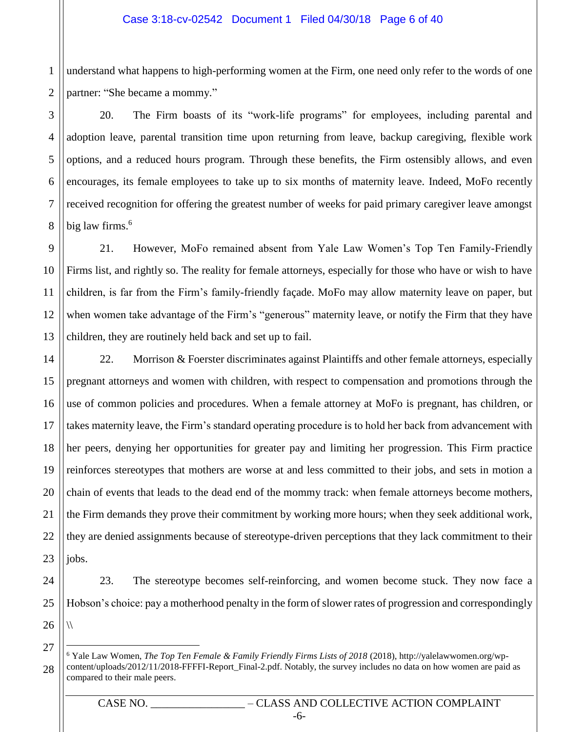1 2 understand what happens to high-performing women at the Firm, one need only refer to the words of one partner: "She became a mommy."

3 4 5 6 7 8 20. The Firm boasts of its "work-life programs" for employees, including parental and adoption leave, parental transition time upon returning from leave, backup caregiving, flexible work options, and a reduced hours program. Through these benefits, the Firm ostensibly allows, and even encourages, its female employees to take up to six months of maternity leave. Indeed, MoFo recently received recognition for offering the greatest number of weeks for paid primary caregiver leave amongst big law firms.<sup>6</sup>

9 10 11 12 13 21. However, MoFo remained absent from Yale Law Women's Top Ten Family-Friendly Firms list, and rightly so. The reality for female attorneys, especially for those who have or wish to have children, is far from the Firm's family-friendly façade. MoFo may allow maternity leave on paper, but when women take advantage of the Firm's "generous" maternity leave, or notify the Firm that they have children, they are routinely held back and set up to fail.

14 15 16 17 18 19 20 21 22 23 22. Morrison & Foerster discriminates against Plaintiffs and other female attorneys, especially pregnant attorneys and women with children, with respect to compensation and promotions through the use of common policies and procedures. When a female attorney at MoFo is pregnant, has children, or takes maternity leave, the Firm's standard operating procedure is to hold her back from advancement with her peers, denying her opportunities for greater pay and limiting her progression. This Firm practice reinforces stereotypes that mothers are worse at and less committed to their jobs, and sets in motion a chain of events that leads to the dead end of the mommy track: when female attorneys become mothers, the Firm demands they prove their commitment by working more hours; when they seek additional work, they are denied assignments because of stereotype-driven perceptions that they lack commitment to their jobs.

24 25 26 23. The stereotype becomes self-reinforcing, and women become stuck. They now face a Hobson's choice: pay a motherhood penalty in the form of slower rates of progression and correspondingly  $\sqrt{ }$ 

27

 $\overline{a}$ 

<sup>28</sup> <sup>6</sup> Yale Law Women, *The Top Ten Female & Family Friendly Firms Lists of 2018* (2018), http://yalelawwomen.org/wpcontent/uploads/2012/11/2018-FFFFI-Report\_Final-2.pdf. Notably, the survey includes no data on how women are paid as compared to their male peers.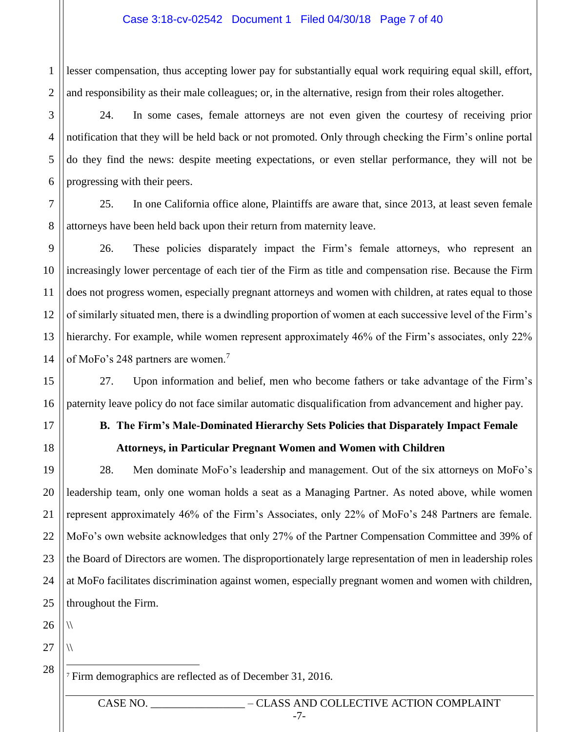1 2 lesser compensation, thus accepting lower pay for substantially equal work requiring equal skill, effort, and responsibility as their male colleagues; or, in the alternative, resign from their roles altogether.

24. In some cases, female attorneys are not even given the courtesy of receiving prior notification that they will be held back or not promoted. Only through checking the Firm's online portal do they find the news: despite meeting expectations, or even stellar performance, they will not be progressing with their peers.

25. In one California office alone, Plaintiffs are aware that, since 2013, at least seven female attorneys have been held back upon their return from maternity leave.

26. These policies disparately impact the Firm's female attorneys, who represent an increasingly lower percentage of each tier of the Firm as title and compensation rise. Because the Firm does not progress women, especially pregnant attorneys and women with children, at rates equal to those of similarly situated men, there is a dwindling proportion of women at each successive level of the Firm's hierarchy. For example, while women represent approximately 46% of the Firm's associates, only 22% of MoFo's 248 partners are women.<sup>7</sup>

27. Upon information and belief, men who become fathers or take advantage of the Firm's paternity leave policy do not face similar automatic disqualification from advancement and higher pay.

## **B. The Firm's Male-Dominated Hierarchy Sets Policies that Disparately Impact Female Attorneys, in Particular Pregnant Women and Women with Children**

28. Men dominate MoFo's leadership and management. Out of the six attorneys on MoFo's leadership team, only one woman holds a seat as a Managing Partner. As noted above, while women represent approximately 46% of the Firm's Associates, only 22% of MoFo's 248 Partners are female. MoFo's own website acknowledges that only 27% of the Partner Compensation Committee and 39% of the Board of Directors are women. The disproportionately large representation of men in leadership roles at MoFo facilitates discrimination against women, especially pregnant women and women with children, throughout the Firm.

26  $\sqrt{ }$ 

3

4

5

6

7

8

9

10

11

12

13

14

15

16

17

18

19

20

21

22

23

24

25

27

 $\frac{1}{2}$ 

28

 $\overline{a}$ <sup>7</sup> Firm demographics are reflected as of December 31, 2016.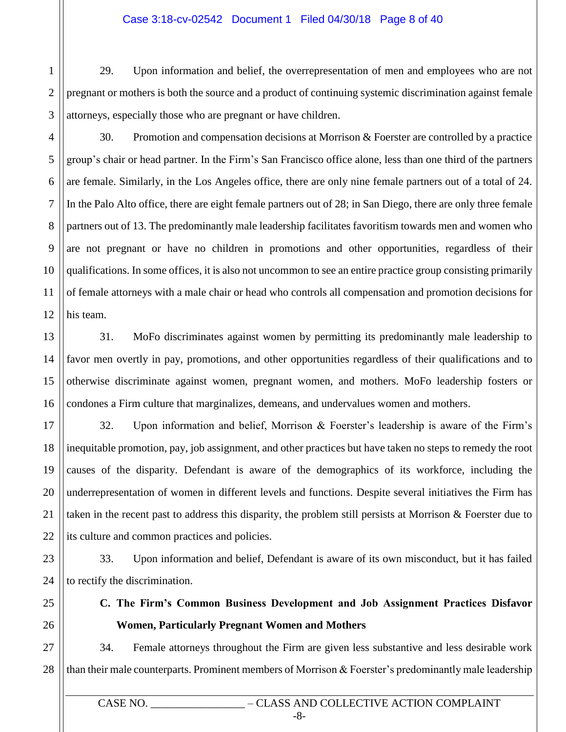#### Case 3:18-cv-02542 Document 1 Filed 04/30/18 Page 8 of 40

1 2 29. Upon information and belief, the overrepresentation of men and employees who are not pregnant or mothers is both the source and a product of continuing systemic discrimination against female attorneys, especially those who are pregnant or have children.

30. Promotion and compensation decisions at Morrison & Foerster are controlled by a practice group's chair or head partner. In the Firm's San Francisco office alone, less than one third of the partners are female. Similarly, in the Los Angeles office, there are only nine female partners out of a total of 24. In the Palo Alto office, there are eight female partners out of 28; in San Diego, there are only three female partners out of 13. The predominantly male leadership facilitates favoritism towards men and women who are not pregnant or have no children in promotions and other opportunities, regardless of their qualifications. In some offices, it is also not uncommon to see an entire practice group consisting primarily of female attorneys with a male chair or head who controls all compensation and promotion decisions for his team.

31. MoFo discriminates against women by permitting its predominantly male leadership to favor men overtly in pay, promotions, and other opportunities regardless of their qualifications and to otherwise discriminate against women, pregnant women, and mothers. MoFo leadership fosters or condones a Firm culture that marginalizes, demeans, and undervalues women and mothers.

32. Upon information and belief, Morrison & Foerster's leadership is aware of the Firm's inequitable promotion, pay, job assignment, and other practices but have taken no steps to remedy the root causes of the disparity. Defendant is aware of the demographics of its workforce, including the underrepresentation of women in different levels and functions. Despite several initiatives the Firm has taken in the recent past to address this disparity, the problem still persists at Morrison & Foerster due to its culture and common practices and policies.

33. Upon information and belief, Defendant is aware of its own misconduct, but it has failed to rectify the discrimination.

**C. The Firm's Common Business Development and Job Assignment Practices Disfavor Women, Particularly Pregnant Women and Mothers**

34. Female attorneys throughout the Firm are given less substantive and less desirable work than their male counterparts. Prominent members of Morrison & Foerster's predominantly male leadership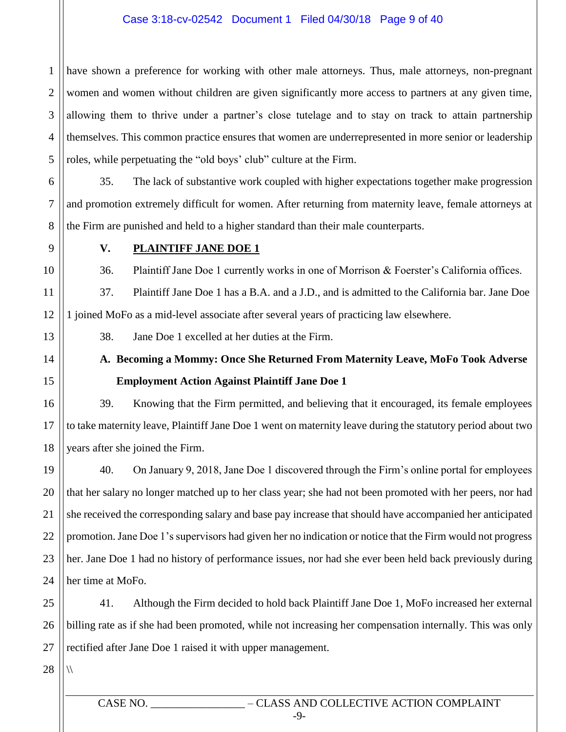#### Case 3:18-cv-02542 Document 1 Filed 04/30/18 Page 9 of 40

1 2 3 4 5 have shown a preference for working with other male attorneys. Thus, male attorneys, non-pregnant women and women without children are given significantly more access to partners at any given time, allowing them to thrive under a partner's close tutelage and to stay on track to attain partnership themselves. This common practice ensures that women are underrepresented in more senior or leadership roles, while perpetuating the "old boys' club" culture at the Firm.

6 7 8 35. The lack of substantive work coupled with higher expectations together make progression and promotion extremely difficult for women. After returning from maternity leave, female attorneys at the Firm are punished and held to a higher standard than their male counterparts.

9

10

11

12

13

14

15

17

#### **V. PLAINTIFF JANE DOE 1**

36. Plaintiff Jane Doe 1 currently works in one of Morrison & Foerster's California offices.

37. Plaintiff Jane Doe 1 has a B.A. and a J.D., and is admitted to the California bar. Jane Doe 1 joined MoFo as a mid-level associate after several years of practicing law elsewhere.

38. Jane Doe 1 excelled at her duties at the Firm.

**A. Becoming a Mommy: Once She Returned From Maternity Leave, MoFo Took Adverse Employment Action Against Plaintiff Jane Doe 1** 

16 18 39. Knowing that the Firm permitted, and believing that it encouraged, its female employees to take maternity leave, Plaintiff Jane Doe 1 went on maternity leave during the statutory period about two years after she joined the Firm.

19 20 21 22 23 24 40. On January 9, 2018, Jane Doe 1 discovered through the Firm's online portal for employees that her salary no longer matched up to her class year; she had not been promoted with her peers, nor had she received the corresponding salary and base pay increase that should have accompanied her anticipated promotion.Jane Doe 1's supervisors had given her no indication or notice that the Firm would not progress her. Jane Doe 1 had no history of performance issues, nor had she ever been held back previously during her time at MoFo.

25 26 27 41. Although the Firm decided to hold back Plaintiff Jane Doe 1, MoFo increased her external billing rate as if she had been promoted, while not increasing her compensation internally. This was only rectified after Jane Doe 1 raised it with upper management.

28

 $\sqrt{}$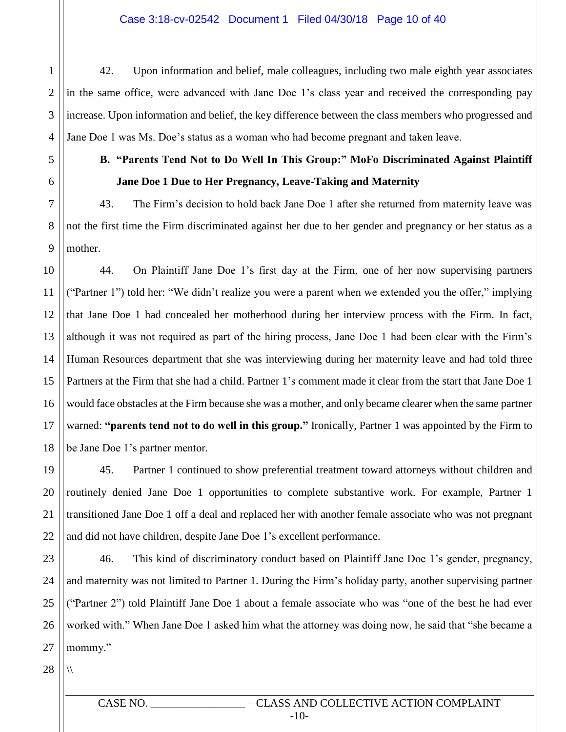#### Case 3:18-cv-02542 Document 1 Filed 04/30/18 Page 10 of 40

42. Upon information and belief, male colleagues, including two male eighth year associates in the same office, were advanced with Jane Doe 1's class year and received the corresponding pay increase. Upon information and belief, the key difference between the class members who progressed and Jane Doe 1 was Ms. Doe's status as a woman who had become pregnant and taken leave.

1

2

3

4

5

6

7

8

9

19

20

21

22

## **B. "Parents Tend Not to Do Well In This Group:" MoFo Discriminated Against Plaintiff Jane Doe 1 Due to Her Pregnancy, Leave-Taking and Maternity**

43. The Firm's decision to hold back Jane Doe 1 after she returned from maternity leave was not the first time the Firm discriminated against her due to her gender and pregnancy or her status as a mother.

10 11 12 13 14 15 16 17 18 44. On Plaintiff Jane Doe 1's first day at the Firm, one of her now supervising partners ("Partner 1") told her: "We didn't realize you were a parent when we extended you the offer," implying that Jane Doe 1 had concealed her motherhood during her interview process with the Firm. In fact, although it was not required as part of the hiring process, Jane Doe 1 had been clear with the Firm's Human Resources department that she was interviewing during her maternity leave and had told three Partners at the Firm that she had a child. Partner 1's comment made it clear from the start that Jane Doe 1 would face obstacles at the Firm because she was a mother, and only became clearer when the same partner warned: "**parents tend not to do well in this group.**" Ironically, Partner 1 was appointed by the Firm to be Jane Doe 1's partner mentor.

45. Partner 1 continued to show preferential treatment toward attorneys without children and routinely denied Jane Doe 1 opportunities to complete substantive work. For example, Partner 1 transitioned Jane Doe 1 off a deal and replaced her with another female associate who was not pregnant and did not have children, despite Jane Doe 1's excellent performance.

23 24 25 26 27 46. This kind of discriminatory conduct based on Plaintiff Jane Doe 1's gender, pregnancy, and maternity was not limited to Partner 1. During the Firm's holiday party, another supervising partner ("Partner 2") told Plaintiff Jane Doe 1 about a female associate who was "one of the best he had ever worked with." When Jane Doe 1 asked him what the attorney was doing now, he said that "she became a mommy."

28

 $\sqrt{}$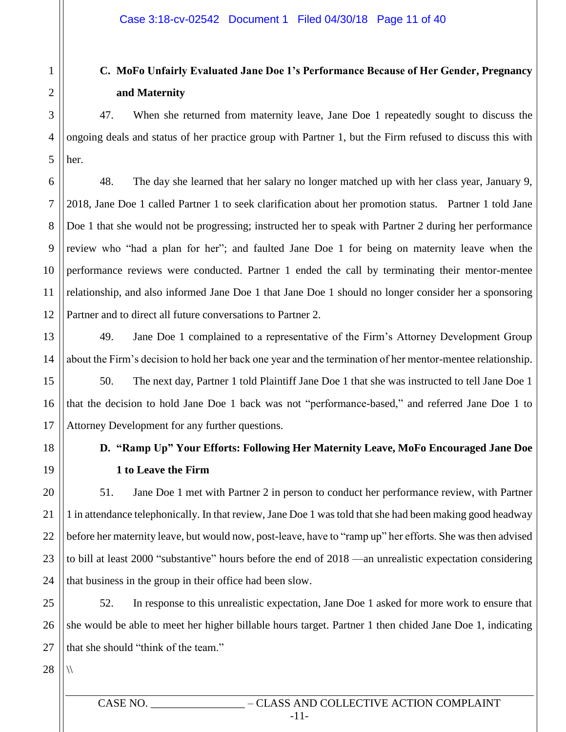## **C. MoFo Unfairly Evaluated Jane Doe 1's Performance Because of Her Gender, Pregnancy and Maternity**

47. When she returned from maternity leave, Jane Doe 1 repeatedly sought to discuss the ongoing deals and status of her practice group with Partner 1, but the Firm refused to discuss this with her.

48. The day she learned that her salary no longer matched up with her class year, January 9, 2018, Jane Doe 1 called Partner 1 to seek clarification about her promotion status. Partner 1 told Jane Doe 1 that she would not be progressing; instructed her to speak with Partner 2 during her performance review who "had a plan for her"; and faulted Jane Doe 1 for being on maternity leave when the performance reviews were conducted. Partner 1 ended the call by terminating their mentor-mentee relationship, and also informed Jane Doe 1 that Jane Doe 1 should no longer consider her a sponsoring Partner and to direct all future conversations to Partner 2.

49. Jane Doe 1 complained to a representative of the Firm's Attorney Development Group about the Firm's decision to hold her back one year and the termination of her mentor-mentee relationship.

50. The next day, Partner 1 told Plaintiff Jane Doe 1 that she was instructed to tell Jane Doe 1 that the decision to hold Jane Doe 1 back was not "performance-based," and referred Jane Doe 1 to Attorney Development for any further questions.

## **D. "Ramp Up" Your Efforts: Following Her Maternity Leave, MoFo Encouraged Jane Doe 1 to Leave the Firm**

51. Jane Doe 1 met with Partner 2 in person to conduct her performance review, with Partner 1 in attendance telephonically. In that review, Jane Doe 1 was told that she had been making good headway before her maternity leave, but would now, post-leave, have to "ramp up" her efforts. She was then advised to bill at least 2000 "substantive" hours before the end of 2018 —an unrealistic expectation considering that business in the group in their office had been slow.

52. In response to this unrealistic expectation, Jane Doe 1 asked for more work to ensure that she would be able to meet her higher billable hours target. Partner 1 then chided Jane Doe 1, indicating that she should "think of the team."

 $\sqrt{}$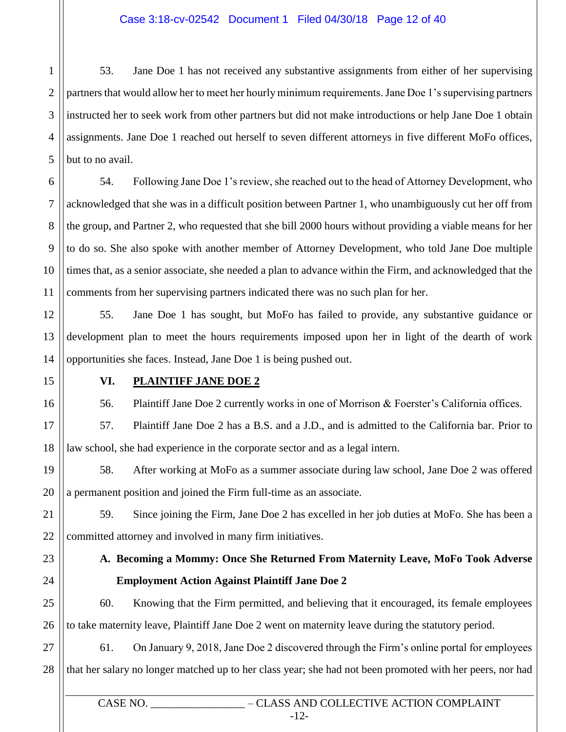#### Case 3:18-cv-02542 Document 1 Filed 04/30/18 Page 12 of 40

1 2 3 4 5 53. Jane Doe 1 has not received any substantive assignments from either of her supervising partners that would allow her to meet her hourly minimum requirements. Jane Doe 1's supervising partners instructed her to seek work from other partners but did not make introductions or help Jane Doe 1 obtain assignments. Jane Doe 1 reached out herself to seven different attorneys in five different MoFo offices, but to no avail.

6 7 8 9 10 11 54. Following Jane Doe 1's review, she reached out to the head of Attorney Development, who acknowledged that she was in a difficult position between Partner 1, who unambiguously cut her off from the group, and Partner 2, who requested that she bill 2000 hours without providing a viable means for her to do so. She also spoke with another member of Attorney Development, who told Jane Doe multiple times that, as a senior associate, she needed a plan to advance within the Firm, and acknowledged that the comments from her supervising partners indicated there was no such plan for her.

12 13 14 55. Jane Doe 1 has sought, but MoFo has failed to provide, any substantive guidance or development plan to meet the hours requirements imposed upon her in light of the dearth of work opportunities she faces. Instead, Jane Doe 1 is being pushed out.

15

16

19

20

21

#### **VI. PLAINTIFF JANE DOE 2**

56. Plaintiff Jane Doe 2 currently works in one of Morrison & Foerster's California offices.

17 18 57. Plaintiff Jane Doe 2 has a B.S. and a J.D., and is admitted to the California bar. Prior to law school, she had experience in the corporate sector and as a legal intern.

58. After working at MoFo as a summer associate during law school, Jane Doe 2 was offered a permanent position and joined the Firm full-time as an associate.

59. Since joining the Firm, Jane Doe 2 has excelled in her job duties at MoFo. She has been a committed attorney and involved in many firm initiatives.

23

24

22

## **A. Becoming a Mommy: Once She Returned From Maternity Leave, MoFo Took Adverse Employment Action Against Plaintiff Jane Doe 2**

25 26 60. Knowing that the Firm permitted, and believing that it encouraged, its female employees to take maternity leave, Plaintiff Jane Doe 2 went on maternity leave during the statutory period.

27 28 61. On January 9, 2018, Jane Doe 2 discovered through the Firm's online portal for employees that her salary no longer matched up to her class year; she had not been promoted with her peers, nor had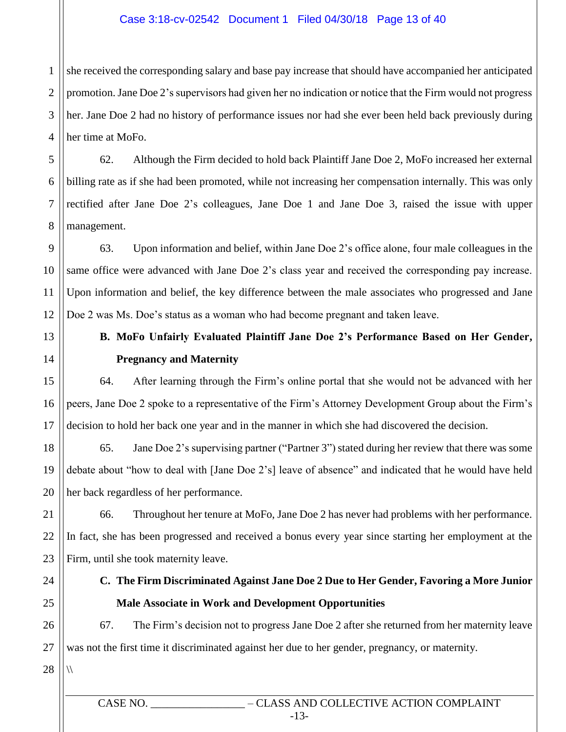#### Case 3:18-cv-02542 Document 1 Filed 04/30/18 Page 13 of 40

1 2 3 4 she received the corresponding salary and base pay increase that should have accompanied her anticipated promotion.Jane Doe 2's supervisors had given her no indication or notice that the Firm would not progress her. Jane Doe 2 had no history of performance issues nor had she ever been held back previously during her time at MoFo.

62. Although the Firm decided to hold back Plaintiff Jane Doe 2, MoFo increased her external billing rate as if she had been promoted, while not increasing her compensation internally. This was only rectified after Jane Doe 2's colleagues, Jane Doe 1 and Jane Doe 3, raised the issue with upper management.

63. Upon information and belief, within Jane Doe 2's office alone, four male colleagues in the same office were advanced with Jane Doe 2's class year and received the corresponding pay increase. Upon information and belief, the key difference between the male associates who progressed and Jane Doe 2 was Ms. Doe's status as a woman who had become pregnant and taken leave.

## **B. MoFo Unfairly Evaluated Plaintiff Jane Doe 2's Performance Based on Her Gender, Pregnancy and Maternity**

64. After learning through the Firm's online portal that she would not be advanced with her peers, Jane Doe 2 spoke to a representative of the Firm's Attorney Development Group about the Firm's decision to hold her back one year and in the manner in which she had discovered the decision.

65. Jane Doe 2's supervising partner ("Partner 3") stated during her review that there was some debate about "how to deal with [Jane Doe 2's] leave of absence" and indicated that he would have held her back regardless of her performance.

66. Throughout her tenure at MoFo, Jane Doe 2 has never had problems with her performance. In fact, she has been progressed and received a bonus every year since starting her employment at the Firm, until she took maternity leave.

## **C. The Firm Discriminated Against Jane Doe 2 Due to Her Gender, Favoring a More Junior Male Associate in Work and Development Opportunities**

67. The Firm's decision not to progress Jane Doe 2 after she returned from her maternity leave was not the first time it discriminated against her due to her gender, pregnancy, or maternity.

28

 $\sqrt{}$ 

5

6

7

8

9

10

11

12

13

14

15

16

17

18

19

20

21

22

23

24

25

26

27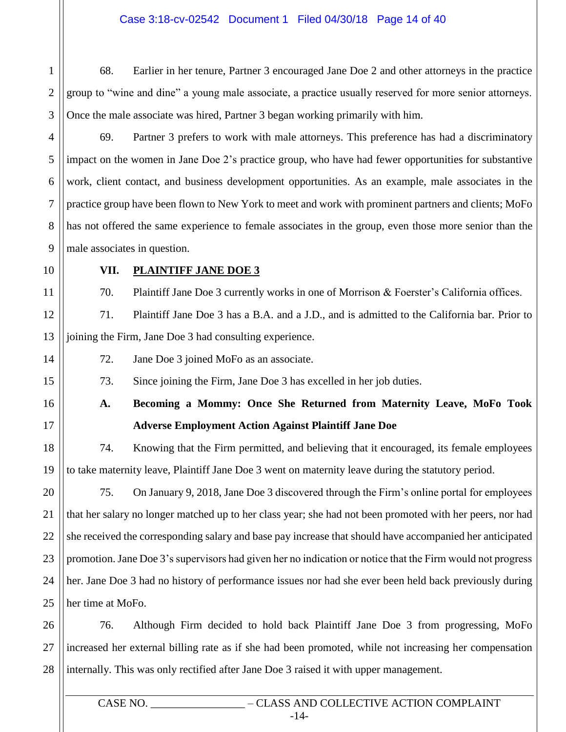1 2 3 68. Earlier in her tenure, Partner 3 encouraged Jane Doe 2 and other attorneys in the practice group to "wine and dine" a young male associate, a practice usually reserved for more senior attorneys. Once the male associate was hired, Partner 3 began working primarily with him.

69. Partner 3 prefers to work with male attorneys. This preference has had a discriminatory impact on the women in Jane Doe 2's practice group, who have had fewer opportunities for substantive work, client contact, and business development opportunities. As an example, male associates in the practice group have been flown to New York to meet and work with prominent partners and clients; MoFo has not offered the same experience to female associates in the group, even those more senior than the male associates in question.

4

#### **VII. PLAINTIFF JANE DOE 3**

70. Plaintiff Jane Doe 3 currently works in one of Morrison & Foerster's California offices.

71. Plaintiff Jane Doe 3 has a B.A. and a J.D., and is admitted to the California bar. Prior to joining the Firm, Jane Doe 3 had consulting experience.

72. Jane Doe 3 joined MoFo as an associate.

73. Since joining the Firm, Jane Doe 3 has excelled in her job duties.

**A. Becoming a Mommy: Once She Returned from Maternity Leave, MoFo Took Adverse Employment Action Against Plaintiff Jane Doe**

74. Knowing that the Firm permitted, and believing that it encouraged, its female employees to take maternity leave, Plaintiff Jane Doe 3 went on maternity leave during the statutory period.

75. On January 9, 2018, Jane Doe 3 discovered through the Firm's online portal for employees that her salary no longer matched up to her class year; she had not been promoted with her peers, nor had she received the corresponding salary and base pay increase that should have accompanied her anticipated promotion.Jane Doe 3's supervisors had given her no indication or notice that the Firm would not progress her. Jane Doe 3 had no history of performance issues nor had she ever been held back previously during her time at MoFo.

28 76. Although Firm decided to hold back Plaintiff Jane Doe 3 from progressing, MoFo increased her external billing rate as if she had been promoted, while not increasing her compensation internally. This was only rectified after Jane Doe 3 raised it with upper management.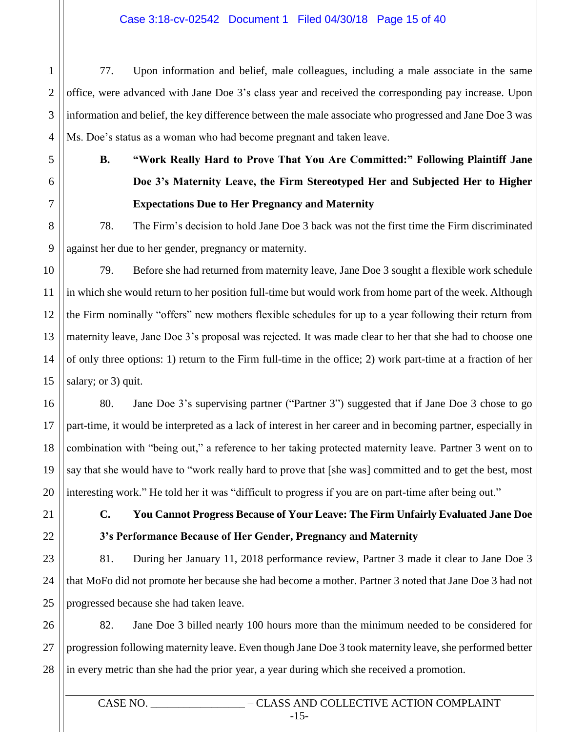#### Case 3:18-cv-02542 Document 1 Filed 04/30/18 Page 15 of 40

77. Upon information and belief, male colleagues, including a male associate in the same office, were advanced with Jane Doe 3's class year and received the corresponding pay increase. Upon information and belief, the key difference between the male associate who progressed and Jane Doe 3 was Ms. Doe's status as a woman who had become pregnant and taken leave.

1

**B. "Work Really Hard to Prove That You Are Committed:" Following Plaintiff Jane Doe 3's Maternity Leave, the Firm Stereotyped Her and Subjected Her to Higher Expectations Due to Her Pregnancy and Maternity**

78. The Firm's decision to hold Jane Doe 3 back was not the first time the Firm discriminated against her due to her gender, pregnancy or maternity.

79. Before she had returned from maternity leave, Jane Doe 3 sought a flexible work schedule in which she would return to her position full-time but would work from home part of the week. Although the Firm nominally "offers" new mothers flexible schedules for up to a year following their return from maternity leave, Jane Doe 3's proposal was rejected. It was made clear to her that she had to choose one of only three options: 1) return to the Firm full-time in the office; 2) work part-time at a fraction of her salary; or 3) quit.

80. Jane Doe 3's supervising partner ("Partner 3") suggested that if Jane Doe 3 chose to go part-time, it would be interpreted as a lack of interest in her career and in becoming partner, especially in combination with "being out," a reference to her taking protected maternity leave. Partner 3 went on to say that she would have to "work really hard to prove that [she was] committed and to get the best, most interesting work." He told her it was "difficult to progress if you are on part-time after being out."

## **C. You Cannot Progress Because of Your Leave: The Firm Unfairly Evaluated Jane Doe 3's Performance Because of Her Gender, Pregnancy and Maternity**

81. During her January 11, 2018 performance review, Partner 3 made it clear to Jane Doe 3 that MoFo did not promote her because she had become a mother. Partner 3 noted that Jane Doe 3 had not progressed because she had taken leave.

82. Jane Doe 3 billed nearly 100 hours more than the minimum needed to be considered for progression following maternity leave. Even though Jane Doe 3 took maternity leave, she performed better in every metric than she had the prior year, a year during which she received a promotion.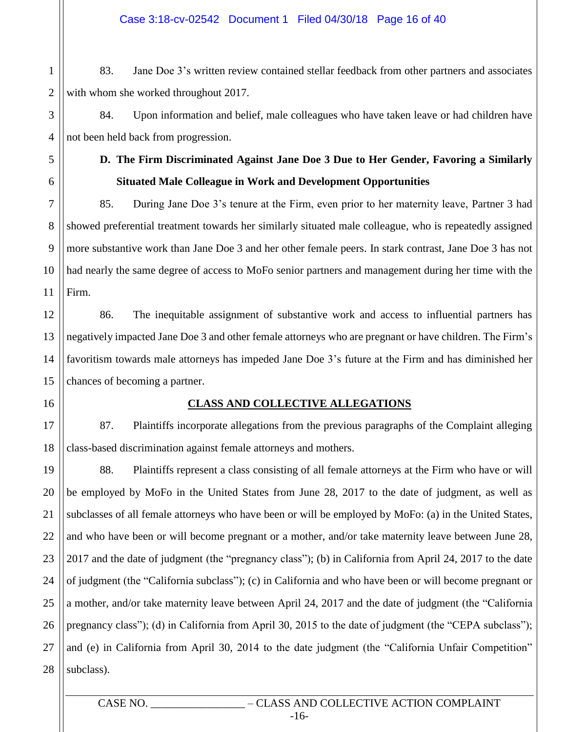83. Jane Doe 3's written review contained stellar feedback from other partners and associates with whom she worked throughout 2017.

84. Upon information and belief, male colleagues who have taken leave or had children have not been held back from progression.

## **D. The Firm Discriminated Against Jane Doe 3 Due to Her Gender, Favoring a Similarly Situated Male Colleague in Work and Development Opportunities**

85. During Jane Doe 3's tenure at the Firm, even prior to her maternity leave, Partner 3 had showed preferential treatment towards her similarly situated male colleague, who is repeatedly assigned more substantive work than Jane Doe 3 and her other female peers. In stark contrast, Jane Doe 3 has not had nearly the same degree of access to MoFo senior partners and management during her time with the Firm.

86. The inequitable assignment of substantive work and access to influential partners has negatively impacted Jane Doe 3 and other female attorneys who are pregnant or have children. The Firm's favoritism towards male attorneys has impeded Jane Doe 3's future at the Firm and has diminished her chances of becoming a partner.

1

2

3

4

5

6

7

8

9

10

11

12

13

14

15

16

17

#### **CLASS AND COLLECTIVE ALLEGATIONS**

18 87. Plaintiffs incorporate allegations from the previous paragraphs of the Complaint alleging class-based discrimination against female attorneys and mothers.

19 20 21 22 23 24 25 26 27 28 88. Plaintiffs represent a class consisting of all female attorneys at the Firm who have or will be employed by MoFo in the United States from June 28, 2017 to the date of judgment, as well as subclasses of all female attorneys who have been or will be employed by MoFo: (a) in the United States, and who have been or will become pregnant or a mother, and/or take maternity leave between June 28, 2017 and the date of judgment (the "pregnancy class"); (b) in California from April 24, 2017 to the date of judgment (the "California subclass"); (c) in California and who have been or will become pregnant or a mother, and/or take maternity leave between April 24, 2017 and the date of judgment (the "California pregnancy class"); (d) in California from April 30, 2015 to the date of judgment (the "CEPA subclass"); and (e) in California from April 30, 2014 to the date judgment (the "California Unfair Competition" subclass).

> CASE NO.  $-CLASS AND COLLECTIVE ACTION COMPLAINT$ -16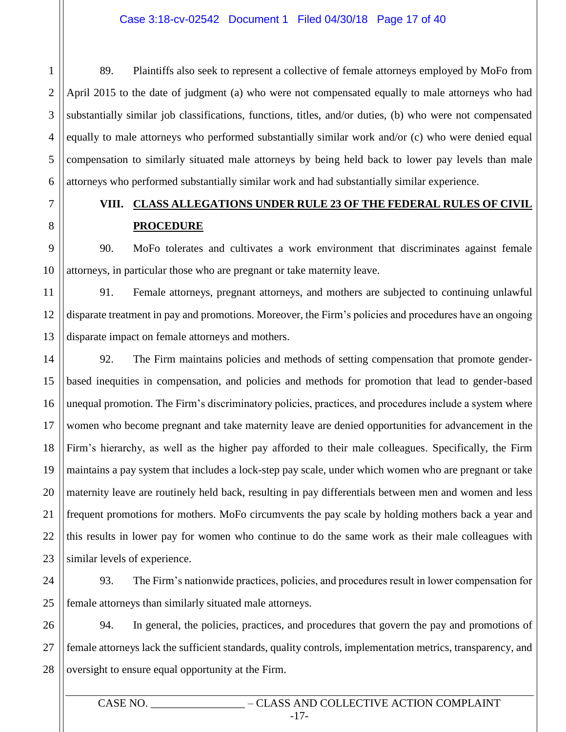1 2 89. Plaintiffs also seek to represent a collective of female attorneys employed by MoFo from April 2015 to the date of judgment (a) who were not compensated equally to male attorneys who had substantially similar job classifications, functions, titles, and/or duties, (b) who were not compensated equally to male attorneys who performed substantially similar work and/or (c) who were denied equal compensation to similarly situated male attorneys by being held back to lower pay levels than male attorneys who performed substantially similar work and had substantially similar experience.

## **VIII. CLASS ALLEGATIONS UNDER RULE 23 OF THE FEDERAL RULES OF CIVIL PROCEDURE**

90. MoFo tolerates and cultivates a work environment that discriminates against female attorneys, in particular those who are pregnant or take maternity leave.

91. Female attorneys, pregnant attorneys, and mothers are subjected to continuing unlawful disparate treatment in pay and promotions. Moreover, the Firm's policies and procedures have an ongoing disparate impact on female attorneys and mothers.

92. The Firm maintains policies and methods of setting compensation that promote genderbased inequities in compensation, and policies and methods for promotion that lead to gender-based unequal promotion. The Firm's discriminatory policies, practices, and procedures include a system where women who become pregnant and take maternity leave are denied opportunities for advancement in the Firm's hierarchy, as well as the higher pay afforded to their male colleagues. Specifically, the Firm maintains a pay system that includes a lock-step pay scale, under which women who are pregnant or take maternity leave are routinely held back, resulting in pay differentials between men and women and less frequent promotions for mothers. MoFo circumvents the pay scale by holding mothers back a year and this results in lower pay for women who continue to do the same work as their male colleagues with similar levels of experience.

93. The Firm's nationwide practices, policies, and procedures result in lower compensation for female attorneys than similarly situated male attorneys.

94. In general, the policies, practices, and procedures that govern the pay and promotions of female attorneys lack the sufficient standards, quality controls, implementation metrics, transparency, and oversight to ensure equal opportunity at the Firm.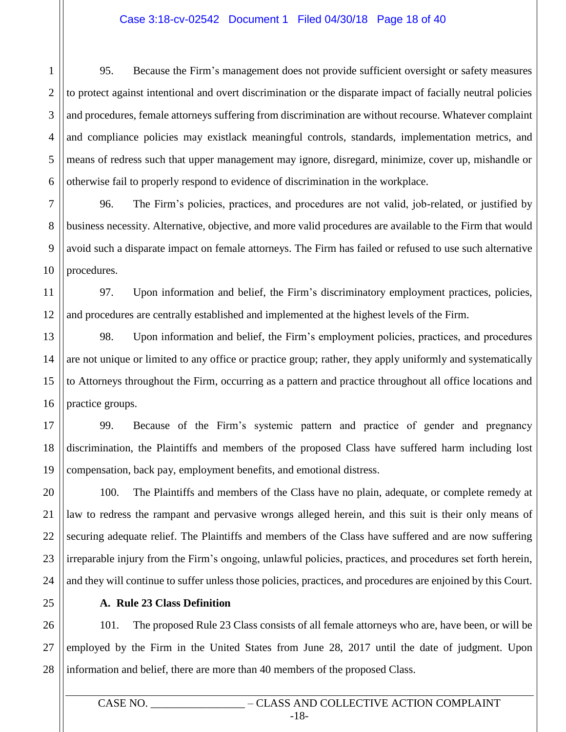#### Case 3:18-cv-02542 Document 1 Filed 04/30/18 Page 18 of 40

1 2 3 95. Because the Firm's management does not provide sufficient oversight or safety measures to protect against intentional and overt discrimination or the disparate impact of facially neutral policies and procedures, female attorneys suffering from discrimination are without recourse. Whatever complaint and compliance policies may existlack meaningful controls, standards, implementation metrics, and means of redress such that upper management may ignore, disregard, minimize, cover up, mishandle or otherwise fail to properly respond to evidence of discrimination in the workplace.

96. The Firm's policies, practices, and procedures are not valid, job-related, or justified by business necessity. Alternative, objective, and more valid procedures are available to the Firm that would avoid such a disparate impact on female attorneys. The Firm has failed or refused to use such alternative procedures.

97. Upon information and belief, the Firm's discriminatory employment practices, policies, and procedures are centrally established and implemented at the highest levels of the Firm.

98. Upon information and belief, the Firm's employment policies, practices, and procedures are not unique or limited to any office or practice group; rather, they apply uniformly and systematically to Attorneys throughout the Firm, occurring as a pattern and practice throughout all office locations and practice groups.

99. Because of the Firm's systemic pattern and practice of gender and pregnancy discrimination, the Plaintiffs and members of the proposed Class have suffered harm including lost compensation, back pay, employment benefits, and emotional distress.

100. The Plaintiffs and members of the Class have no plain, adequate, or complete remedy at law to redress the rampant and pervasive wrongs alleged herein, and this suit is their only means of securing adequate relief. The Plaintiffs and members of the Class have suffered and are now suffering irreparable injury from the Firm's ongoing, unlawful policies, practices, and procedures set forth herein, and they will continue to suffer unless those policies, practices, and procedures are enjoined by this Court.

#### **A. Rule 23 Class Definition**

101. The proposed Rule 23 Class consists of all female attorneys who are, have been, or will be employed by the Firm in the United States from June 28, 2017 until the date of judgment. Upon information and belief, there are more than 40 members of the proposed Class.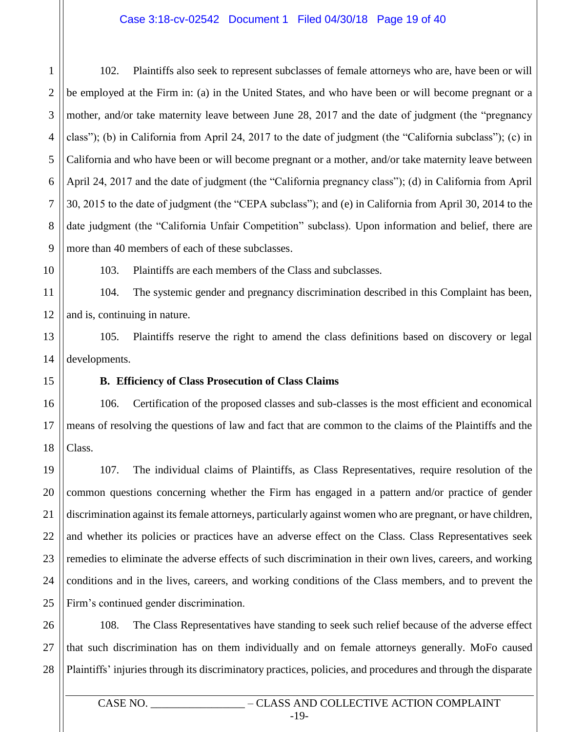#### Case 3:18-cv-02542 Document 1 Filed 04/30/18 Page 19 of 40

1 2 3 4 5 6 7 8 9 102. Plaintiffs also seek to represent subclasses of female attorneys who are, have been or will be employed at the Firm in: (a) in the United States, and who have been or will become pregnant or a mother, and/or take maternity leave between June 28, 2017 and the date of judgment (the "pregnancy class"); (b) in California from April 24, 2017 to the date of judgment (the "California subclass"); (c) in California and who have been or will become pregnant or a mother, and/or take maternity leave between April 24, 2017 and the date of judgment (the "California pregnancy class"); (d) in California from April 30, 2015 to the date of judgment (the "CEPA subclass"); and (e) in California from April 30, 2014 to the date judgment (the "California Unfair Competition" subclass). Upon information and belief, there are more than 40 members of each of these subclasses.

10

103. Plaintiffs are each members of the Class and subclasses.

11 12 104. The systemic gender and pregnancy discrimination described in this Complaint has been, and is, continuing in nature.

13 14 105. Plaintiffs reserve the right to amend the class definitions based on discovery or legal developments.

15

17

#### **B. Efficiency of Class Prosecution of Class Claims**

16 18 106. Certification of the proposed classes and sub-classes is the most efficient and economical means of resolving the questions of law and fact that are common to the claims of the Plaintiffs and the Class.

19 20 21 22 23 24 25 107. The individual claims of Plaintiffs, as Class Representatives, require resolution of the common questions concerning whether the Firm has engaged in a pattern and/or practice of gender discrimination against its female attorneys, particularly against women who are pregnant, or have children, and whether its policies or practices have an adverse effect on the Class. Class Representatives seek remedies to eliminate the adverse effects of such discrimination in their own lives, careers, and working conditions and in the lives, careers, and working conditions of the Class members, and to prevent the Firm's continued gender discrimination.

26 27 28 108. The Class Representatives have standing to seek such relief because of the adverse effect that such discrimination has on them individually and on female attorneys generally. MoFo caused Plaintiffs' injuries through its discriminatory practices, policies, and procedures and through the disparate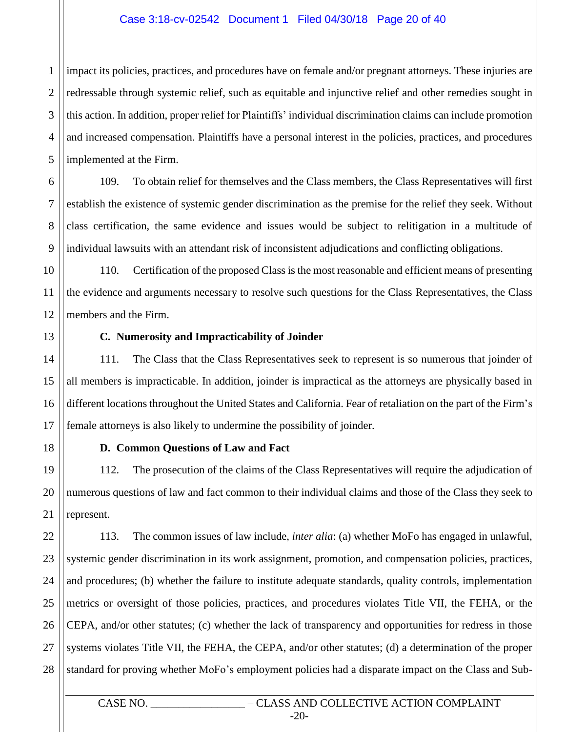#### Case 3:18-cv-02542 Document 1 Filed 04/30/18 Page 20 of 40

1 2 3 4 5 impact its policies, practices, and procedures have on female and/or pregnant attorneys. These injuries are redressable through systemic relief, such as equitable and injunctive relief and other remedies sought in this action. In addition, proper relief for Plaintiffs' individual discrimination claims can include promotion and increased compensation. Plaintiffs have a personal interest in the policies, practices, and procedures implemented at the Firm.

6 7 8 9 109. To obtain relief for themselves and the Class members, the Class Representatives will first establish the existence of systemic gender discrimination as the premise for the relief they seek. Without class certification, the same evidence and issues would be subject to relitigation in a multitude of individual lawsuits with an attendant risk of inconsistent adjudications and conflicting obligations.

110. Certification of the proposed Class is the most reasonable and efficient means of presenting the evidence and arguments necessary to resolve such questions for the Class Representatives, the Class members and the Firm.

10

11

12

13

17

18

#### **C. Numerosity and Impracticability of Joinder**

14 15 16 111. The Class that the Class Representatives seek to represent is so numerous that joinder of all members is impracticable. In addition, joinder is impractical as the attorneys are physically based in different locations throughout the United States and California. Fear of retaliation on the part of the Firm's female attorneys is also likely to undermine the possibility of joinder.

#### **D. Common Questions of Law and Fact**

19 20 21 112. The prosecution of the claims of the Class Representatives will require the adjudication of numerous questions of law and fact common to their individual claims and those of the Class they seek to represent.

22 23 24 25 26 27 28 113. The common issues of law include, *inter alia*: (a) whether MoFo has engaged in unlawful, systemic gender discrimination in its work assignment, promotion, and compensation policies, practices, and procedures; (b) whether the failure to institute adequate standards, quality controls, implementation metrics or oversight of those policies, practices, and procedures violates Title VII, the FEHA, or the CEPA, and/or other statutes; (c) whether the lack of transparency and opportunities for redress in those systems violates Title VII, the FEHA, the CEPA, and/or other statutes; (d) a determination of the proper standard for proving whether MoFo's employment policies had a disparate impact on the Class and Sub-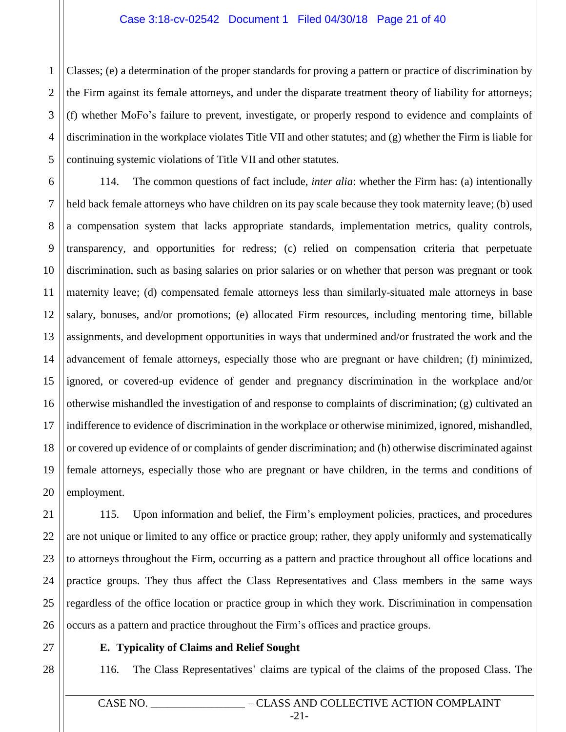1 2 3 4 5 Classes; (e) a determination of the proper standards for proving a pattern or practice of discrimination by the Firm against its female attorneys, and under the disparate treatment theory of liability for attorneys; (f) whether MoFo's failure to prevent, investigate, or properly respond to evidence and complaints of discrimination in the workplace violates Title VII and other statutes; and (g) whether the Firm is liable for continuing systemic violations of Title VII and other statutes.

6 7 8 9 10 11 12 13 14 15 16 17 18 19 20 114. The common questions of fact include, *inter alia*: whether the Firm has: (a) intentionally held back female attorneys who have children on its pay scale because they took maternity leave; (b) used a compensation system that lacks appropriate standards, implementation metrics, quality controls, transparency, and opportunities for redress; (c) relied on compensation criteria that perpetuate discrimination, such as basing salaries on prior salaries or on whether that person was pregnant or took maternity leave; (d) compensated female attorneys less than similarly-situated male attorneys in base salary, bonuses, and/or promotions; (e) allocated Firm resources, including mentoring time, billable assignments, and development opportunities in ways that undermined and/or frustrated the work and the advancement of female attorneys, especially those who are pregnant or have children; (f) minimized, ignored, or covered-up evidence of gender and pregnancy discrimination in the workplace and/or otherwise mishandled the investigation of and response to complaints of discrimination; (g) cultivated an indifference to evidence of discrimination in the workplace or otherwise minimized, ignored, mishandled, or covered up evidence of or complaints of gender discrimination; and (h) otherwise discriminated against female attorneys, especially those who are pregnant or have children, in the terms and conditions of employment.

21 22 23 24 25 26 115. Upon information and belief, the Firm's employment policies, practices, and procedures are not unique or limited to any office or practice group; rather, they apply uniformly and systematically to attorneys throughout the Firm, occurring as a pattern and practice throughout all office locations and practice groups. They thus affect the Class Representatives and Class members in the same ways regardless of the office location or practice group in which they work. Discrimination in compensation occurs as a pattern and practice throughout the Firm's offices and practice groups.

27

#### **E. Typicality of Claims and Relief Sought**

28

116. The Class Representatives' claims are typical of the claims of the proposed Class. The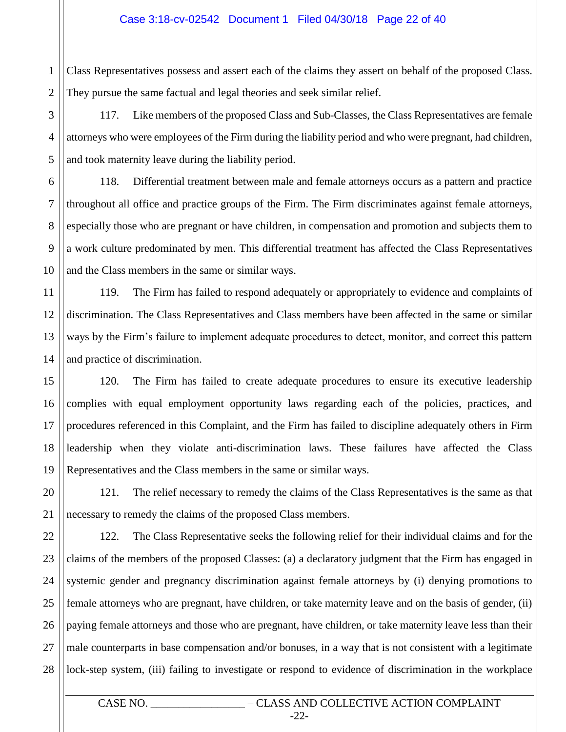1 Class Representatives possess and assert each of the claims they assert on behalf of the proposed Class. They pursue the same factual and legal theories and seek similar relief.

117. Like members of the proposed Class and Sub-Classes, the Class Representatives are female attorneys who were employees of the Firm during the liability period and who were pregnant, had children, and took maternity leave during the liability period.

118. Differential treatment between male and female attorneys occurs as a pattern and practice throughout all office and practice groups of the Firm. The Firm discriminates against female attorneys, especially those who are pregnant or have children, in compensation and promotion and subjects them to a work culture predominated by men. This differential treatment has affected the Class Representatives and the Class members in the same or similar ways.

119. The Firm has failed to respond adequately or appropriately to evidence and complaints of discrimination. The Class Representatives and Class members have been affected in the same or similar ways by the Firm's failure to implement adequate procedures to detect, monitor, and correct this pattern and practice of discrimination.

120. The Firm has failed to create adequate procedures to ensure its executive leadership complies with equal employment opportunity laws regarding each of the policies, practices, and procedures referenced in this Complaint, and the Firm has failed to discipline adequately others in Firm leadership when they violate anti-discrimination laws. These failures have affected the Class Representatives and the Class members in the same or similar ways.

121. The relief necessary to remedy the claims of the Class Representatives is the same as that necessary to remedy the claims of the proposed Class members.

122. The Class Representative seeks the following relief for their individual claims and for the claims of the members of the proposed Classes: (a) a declaratory judgment that the Firm has engaged in systemic gender and pregnancy discrimination against female attorneys by (i) denying promotions to female attorneys who are pregnant, have children, or take maternity leave and on the basis of gender, (ii) paying female attorneys and those who are pregnant, have children, or take maternity leave less than their male counterparts in base compensation and/or bonuses, in a way that is not consistent with a legitimate lock-step system, (iii) failing to investigate or respond to evidence of discrimination in the workplace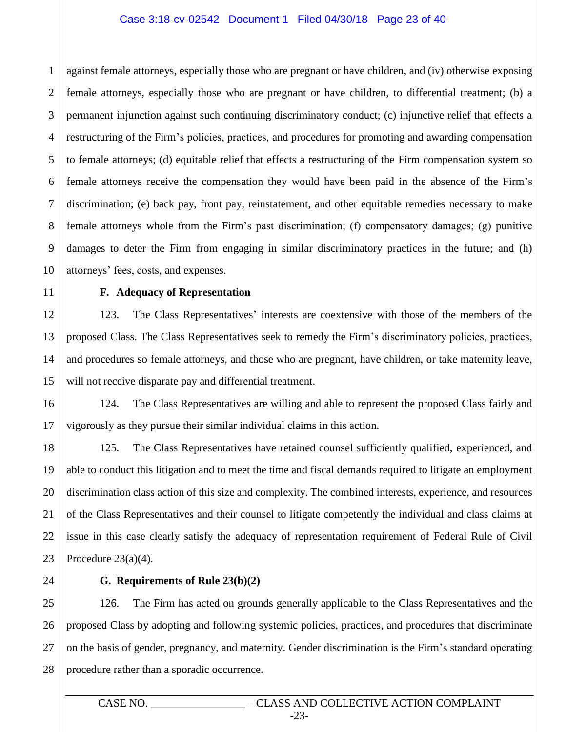#### Case 3:18-cv-02542 Document 1 Filed 04/30/18 Page 23 of 40

1 2 3 4 5 6 7 8 9 10 against female attorneys, especially those who are pregnant or have children, and (iv) otherwise exposing female attorneys, especially those who are pregnant or have children, to differential treatment; (b) a permanent injunction against such continuing discriminatory conduct; (c) injunctive relief that effects a restructuring of the Firm's policies, practices, and procedures for promoting and awarding compensation to female attorneys; (d) equitable relief that effects a restructuring of the Firm compensation system so female attorneys receive the compensation they would have been paid in the absence of the Firm's discrimination; (e) back pay, front pay, reinstatement, and other equitable remedies necessary to make female attorneys whole from the Firm's past discrimination; (f) compensatory damages; (g) punitive damages to deter the Firm from engaging in similar discriminatory practices in the future; and (h) attorneys' fees, costs, and expenses.

#### **F. Adequacy of Representation**

123. The Class Representatives' interests are coextensive with those of the members of the proposed Class. The Class Representatives seek to remedy the Firm's discriminatory policies, practices, and procedures so female attorneys, and those who are pregnant, have children, or take maternity leave, will not receive disparate pay and differential treatment.

16 17 124. The Class Representatives are willing and able to represent the proposed Class fairly and vigorously as they pursue their similar individual claims in this action.

125. The Class Representatives have retained counsel sufficiently qualified, experienced, and able to conduct this litigation and to meet the time and fiscal demands required to litigate an employment discrimination class action of this size and complexity. The combined interests, experience, and resources of the Class Representatives and their counsel to litigate competently the individual and class claims at issue in this case clearly satisfy the adequacy of representation requirement of Federal Rule of Civil Procedure  $23(a)(4)$ .

24

11

12

13

14

15

18

19

20

21

22

23

#### **G. Requirements of Rule 23(b)(2)**

25 26 27 28 126. The Firm has acted on grounds generally applicable to the Class Representatives and the proposed Class by adopting and following systemic policies, practices, and procedures that discriminate on the basis of gender, pregnancy, and maternity. Gender discrimination is the Firm's standard operating procedure rather than a sporadic occurrence.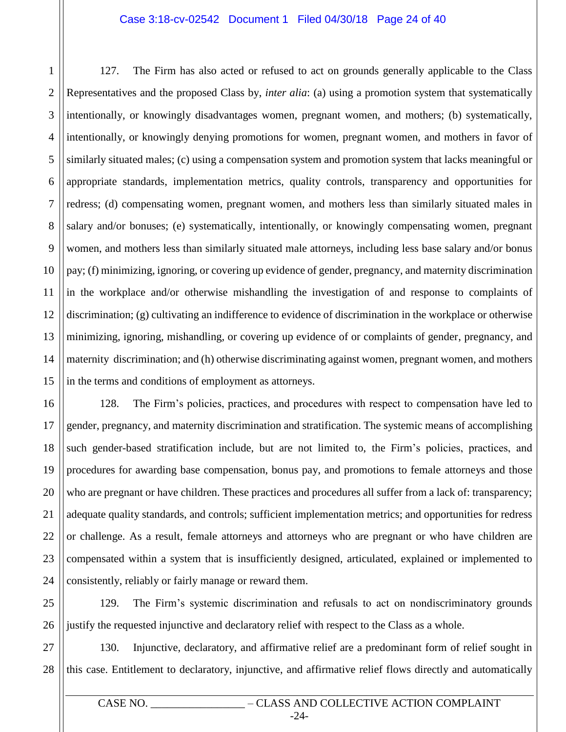#### Case 3:18-cv-02542 Document 1 Filed 04/30/18 Page 24 of 40

1 127. The Firm has also acted or refused to act on grounds generally applicable to the Class Representatives and the proposed Class by, *inter alia*: (a) using a promotion system that systematically intentionally, or knowingly disadvantages women, pregnant women, and mothers; (b) systematically, intentionally, or knowingly denying promotions for women, pregnant women, and mothers in favor of similarly situated males; (c) using a compensation system and promotion system that lacks meaningful or appropriate standards, implementation metrics, quality controls, transparency and opportunities for redress; (d) compensating women, pregnant women, and mothers less than similarly situated males in salary and/or bonuses; (e) systematically, intentionally, or knowingly compensating women, pregnant women, and mothers less than similarly situated male attorneys, including less base salary and/or bonus pay; (f) minimizing, ignoring, or covering up evidence of gender, pregnancy, and maternity discrimination in the workplace and/or otherwise mishandling the investigation of and response to complaints of discrimination; (g) cultivating an indifference to evidence of discrimination in the workplace or otherwise minimizing, ignoring, mishandling, or covering up evidence of or complaints of gender, pregnancy, and maternity discrimination; and (h) otherwise discriminating against women, pregnant women, and mothers in the terms and conditions of employment as attorneys.

128. The Firm's policies, practices, and procedures with respect to compensation have led to gender, pregnancy, and maternity discrimination and stratification. The systemic means of accomplishing such gender-based stratification include, but are not limited to, the Firm's policies, practices, and procedures for awarding base compensation, bonus pay, and promotions to female attorneys and those who are pregnant or have children. These practices and procedures all suffer from a lack of: transparency; adequate quality standards, and controls; sufficient implementation metrics; and opportunities for redress or challenge. As a result, female attorneys and attorneys who are pregnant or who have children are compensated within a system that is insufficiently designed, articulated, explained or implemented to consistently, reliably or fairly manage or reward them.

129. The Firm's systemic discrimination and refusals to act on nondiscriminatory grounds justify the requested injunctive and declaratory relief with respect to the Class as a whole.

130. Injunctive, declaratory, and affirmative relief are a predominant form of relief sought in this case. Entitlement to declaratory, injunctive, and affirmative relief flows directly and automatically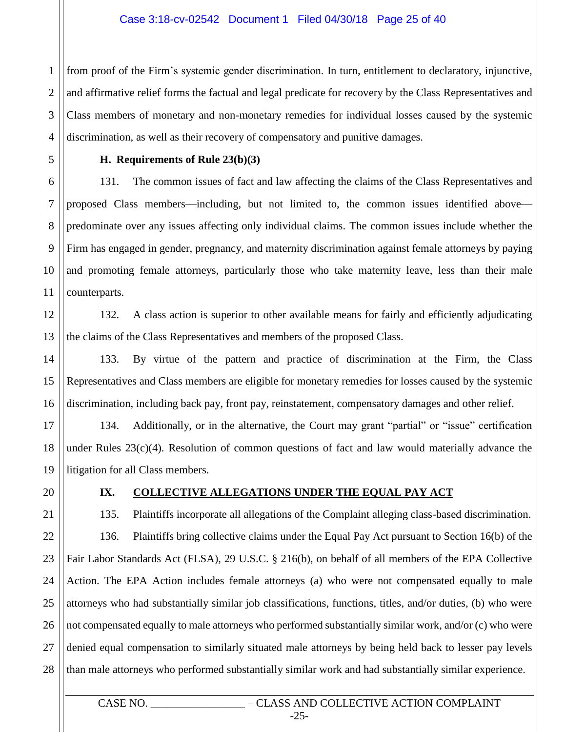#### Case 3:18-cv-02542 Document 1 Filed 04/30/18 Page 25 of 40

1 2 from proof of the Firm's systemic gender discrimination. In turn, entitlement to declaratory, injunctive, and affirmative relief forms the factual and legal predicate for recovery by the Class Representatives and Class members of monetary and non-monetary remedies for individual losses caused by the systemic discrimination, as well as their recovery of compensatory and punitive damages.

#### **H. Requirements of Rule 23(b)(3)**

131. The common issues of fact and law affecting the claims of the Class Representatives and proposed Class members—including, but not limited to, the common issues identified above predominate over any issues affecting only individual claims. The common issues include whether the Firm has engaged in gender, pregnancy, and maternity discrimination against female attorneys by paying and promoting female attorneys, particularly those who take maternity leave, less than their male counterparts.

132. A class action is superior to other available means for fairly and efficiently adjudicating the claims of the Class Representatives and members of the proposed Class.

133. By virtue of the pattern and practice of discrimination at the Firm, the Class Representatives and Class members are eligible for monetary remedies for losses caused by the systemic discrimination, including back pay, front pay, reinstatement, compensatory damages and other relief.

134. Additionally, or in the alternative, the Court may grant "partial" or "issue" certification under Rules 23(c)(4). Resolution of common questions of fact and law would materially advance the litigation for all Class members.

### **IX. COLLECTIVE ALLEGATIONS UNDER THE EQUAL PAY ACT**

135. Plaintiffs incorporate all allegations of the Complaint alleging class-based discrimination. 136. Plaintiffs bring collective claims under the Equal Pay Act pursuant to Section 16(b) of the Fair Labor Standards Act (FLSA), 29 U.S.C. § 216(b), on behalf of all members of the EPA Collective Action. The EPA Action includes female attorneys (a) who were not compensated equally to male attorneys who had substantially similar job classifications, functions, titles, and/or duties, (b) who were not compensated equally to male attorneys who performed substantially similar work, and/or (c) who were denied equal compensation to similarly situated male attorneys by being held back to lesser pay levels than male attorneys who performed substantially similar work and had substantially similar experience.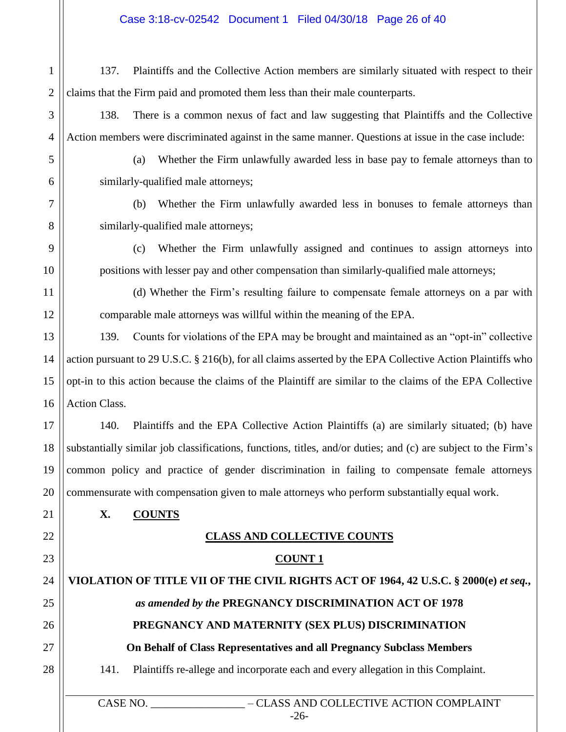#### Case 3:18-cv-02542 Document 1 Filed 04/30/18 Page 26 of 40

1 2 137. Plaintiffs and the Collective Action members are similarly situated with respect to their claims that the Firm paid and promoted them less than their male counterparts.

138. There is a common nexus of fact and law suggesting that Plaintiffs and the Collective Action members were discriminated against in the same manner. Questions at issue in the case include:

3

4

5

6

7

8

9

10

11

12

17

18

19

20

21

22

23

(a) Whether the Firm unlawfully awarded less in base pay to female attorneys than to similarly-qualified male attorneys;

(b) Whether the Firm unlawfully awarded less in bonuses to female attorneys than similarly-qualified male attorneys;

(c) Whether the Firm unlawfully assigned and continues to assign attorneys into positions with lesser pay and other compensation than similarly-qualified male attorneys;

(d) Whether the Firm's resulting failure to compensate female attorneys on a par with comparable male attorneys was willful within the meaning of the EPA.

13 14 15 16 139. Counts for violations of the EPA may be brought and maintained as an "opt-in" collective action pursuant to 29 U.S.C. § 216(b), for all claims asserted by the EPA Collective Action Plaintiffs who opt-in to this action because the claims of the Plaintiff are similar to the claims of the EPA Collective Action Class.

140. Plaintiffs and the EPA Collective Action Plaintiffs (a) are similarly situated; (b) have substantially similar job classifications, functions, titles, and/or duties; and (c) are subject to the Firm's common policy and practice of gender discrimination in failing to compensate female attorneys commensurate with compensation given to male attorneys who perform substantially equal work.

#### **X. COUNTS**

#### **CLASS AND COLLECTIVE COUNTS**

#### **COUNT 1**

24 25 26 27 28 **VIOLATION OF TITLE VII OF THE CIVIL RIGHTS ACT OF 1964, 42 U.S.C. § 2000(e)** *et seq.***,** *as amended by the* **PREGNANCY DISCRIMINATION ACT OF 1978 PREGNANCY AND MATERNITY (SEX PLUS) DISCRIMINATION On Behalf of Class Representatives and all Pregnancy Subclass Members** 141. Plaintiffs re-allege and incorporate each and every allegation in this Complaint.

> CASE NO.  $-CLASS AND COLLECTIVE ACTION COMPLAINT$ -26-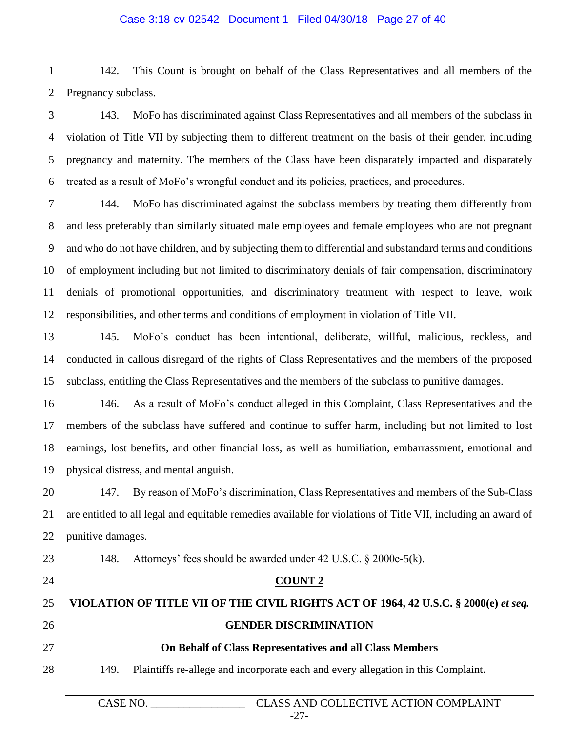142. This Count is brought on behalf of the Class Representatives and all members of the Pregnancy subclass.

143. MoFo has discriminated against Class Representatives and all members of the subclass in violation of Title VII by subjecting them to different treatment on the basis of their gender, including pregnancy and maternity. The members of the Class have been disparately impacted and disparately treated as a result of MoFo's wrongful conduct and its policies, practices, and procedures.

144. MoFo has discriminated against the subclass members by treating them differently from and less preferably than similarly situated male employees and female employees who are not pregnant and who do not have children, and by subjecting them to differential and substandard terms and conditions of employment including but not limited to discriminatory denials of fair compensation, discriminatory denials of promotional opportunities, and discriminatory treatment with respect to leave, work responsibilities, and other terms and conditions of employment in violation of Title VII.

145. MoFo's conduct has been intentional, deliberate, willful, malicious, reckless, and conducted in callous disregard of the rights of Class Representatives and the members of the proposed subclass, entitling the Class Representatives and the members of the subclass to punitive damages.

146. As a result of MoFo's conduct alleged in this Complaint, Class Representatives and the members of the subclass have suffered and continue to suffer harm, including but not limited to lost earnings, lost benefits, and other financial loss, as well as humiliation, embarrassment, emotional and physical distress, and mental anguish.

147. By reason of MoFo's discrimination, Class Representatives and members of the Sub-Class are entitled to all legal and equitable remedies available for violations of Title VII, including an award of punitive damages.

148. Attorneys' fees should be awarded under 42 U.S.C. § 2000e-5(k).

#### **COUNT 2**

## **VIOLATION OF TITLE VII OF THE CIVIL RIGHTS ACT OF 1964, 42 U.S.C. § 2000(e)** *et seq.* **GENDER DISCRIMINATION**

**On Behalf of Class Representatives and all Class Members**

149. Plaintiffs re-allege and incorporate each and every allegation in this Complaint.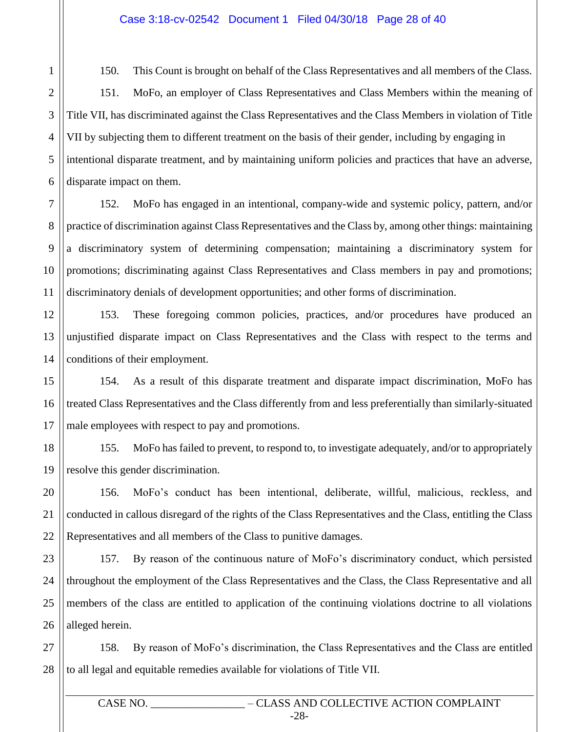150. This Count is brought on behalf of the Class Representatives and all members of the Class. 151. MoFo, an employer of Class Representatives and Class Members within the meaning of Title VII, has discriminated against the Class Representatives and the Class Members in violation of Title VII by subjecting them to different treatment on the basis of their gender, including by engaging in intentional disparate treatment, and by maintaining uniform policies and practices that have an adverse, disparate impact on them.

152. MoFo has engaged in an intentional, company-wide and systemic policy, pattern, and/or practice of discrimination against Class Representatives and the Class by, among other things: maintaining a discriminatory system of determining compensation; maintaining a discriminatory system for promotions; discriminating against Class Representatives and Class members in pay and promotions; discriminatory denials of development opportunities; and other forms of discrimination.

153. These foregoing common policies, practices, and/or procedures have produced an unjustified disparate impact on Class Representatives and the Class with respect to the terms and conditions of their employment.

154. As a result of this disparate treatment and disparate impact discrimination, MoFo has treated Class Representatives and the Class differently from and less preferentially than similarly-situated male employees with respect to pay and promotions.

155. MoFo has failed to prevent, to respond to, to investigate adequately, and/or to appropriately resolve this gender discrimination.

156. MoFo's conduct has been intentional, deliberate, willful, malicious, reckless, and conducted in callous disregard of the rights of the Class Representatives and the Class, entitling the Class Representatives and all members of the Class to punitive damages.

157. By reason of the continuous nature of MoFo's discriminatory conduct, which persisted throughout the employment of the Class Representatives and the Class, the Class Representative and all members of the class are entitled to application of the continuing violations doctrine to all violations alleged herein.

27 28 158. By reason of MoFo's discrimination, the Class Representatives and the Class are entitled to all legal and equitable remedies available for violations of Title VII.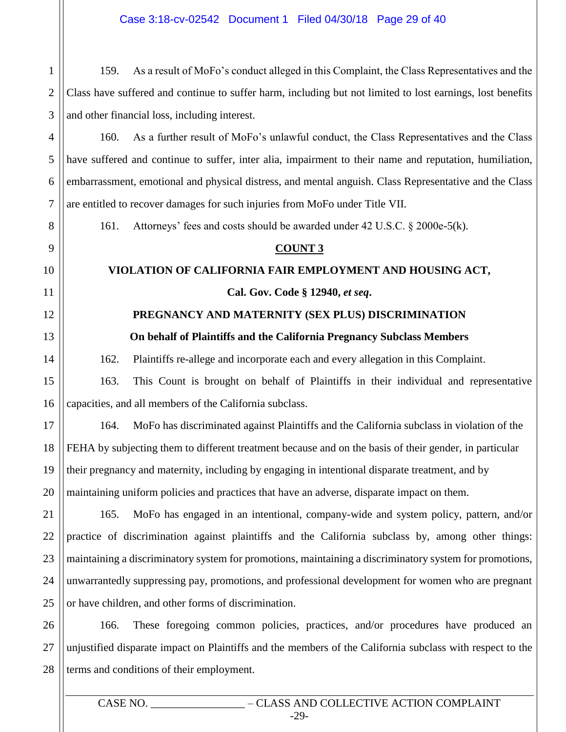1 159. As a result of MoFo's conduct alleged in this Complaint, the Class Representatives and the Class have suffered and continue to suffer harm, including but not limited to lost earnings, lost benefits and other financial loss, including interest.

160. As a further result of MoFo's unlawful conduct, the Class Representatives and the Class have suffered and continue to suffer, inter alia, impairment to their name and reputation, humiliation, embarrassment, emotional and physical distress, and mental anguish. Class Representative and the Class are entitled to recover damages for such injuries from MoFo under Title VII.

161. Attorneys' fees and costs should be awarded under 42 U.S.C. § 2000e-5(k).

#### **COUNT 3**

#### **VIOLATION OF CALIFORNIA FAIR EMPLOYMENT AND HOUSING ACT,**

**Cal. Gov. Code § 12940,** *et seq***.**

### **PREGNANCY AND MATERNITY (SEX PLUS) DISCRIMINATION**

#### **On behalf of Plaintiffs and the California Pregnancy Subclass Members**

162. Plaintiffs re-allege and incorporate each and every allegation in this Complaint.

163. This Count is brought on behalf of Plaintiffs in their individual and representative capacities, and all members of the California subclass.

164. MoFo has discriminated against Plaintiffs and the California subclass in violation of the FEHA by subjecting them to different treatment because and on the basis of their gender, in particular their pregnancy and maternity, including by engaging in intentional disparate treatment, and by maintaining uniform policies and practices that have an adverse, disparate impact on them.

165. MoFo has engaged in an intentional, company-wide and system policy, pattern, and/or practice of discrimination against plaintiffs and the California subclass by, among other things: maintaining a discriminatory system for promotions, maintaining a discriminatory system for promotions, unwarrantedly suppressing pay, promotions, and professional development for women who are pregnant or have children, and other forms of discrimination.

166. These foregoing common policies, practices, and/or procedures have produced an unjustified disparate impact on Plaintiffs and the members of the California subclass with respect to the terms and conditions of their employment.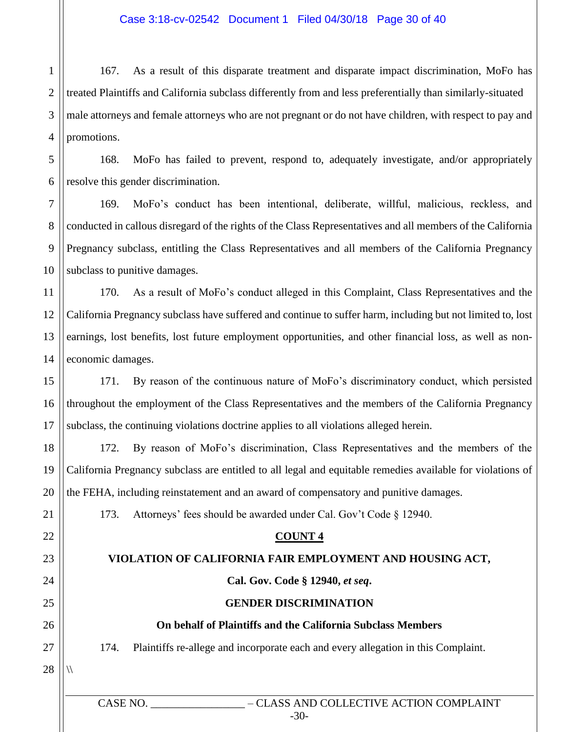1 2 3 4 167. As a result of this disparate treatment and disparate impact discrimination, MoFo has treated Plaintiffs and California subclass differently from and less preferentially than similarly-situated male attorneys and female attorneys who are not pregnant or do not have children, with respect to pay and promotions.

168. MoFo has failed to prevent, respond to, adequately investigate, and/or appropriately resolve this gender discrimination.

169. MoFo's conduct has been intentional, deliberate, willful, malicious, reckless, and conducted in callous disregard of the rights of the Class Representatives and all members of the California Pregnancy subclass, entitling the Class Representatives and all members of the California Pregnancy subclass to punitive damages.

11 12 13 14 170. As a result of MoFo's conduct alleged in this Complaint, Class Representatives and the California Pregnancy subclass have suffered and continue to suffer harm, including but not limited to, lost earnings, lost benefits, lost future employment opportunities, and other financial loss, as well as noneconomic damages.

15 16 17 171. By reason of the continuous nature of MoFo's discriminatory conduct, which persisted throughout the employment of the Class Representatives and the members of the California Pregnancy subclass, the continuing violations doctrine applies to all violations alleged herein.

172. By reason of MoFo's discrimination, Class Representatives and the members of the California Pregnancy subclass are entitled to all legal and equitable remedies available for violations of the FEHA, including reinstatement and an award of compensatory and punitive damages.

173. Attorneys' fees should be awarded under Cal. Gov't Code § 12940.

#### **COUNT 4**

## **VIOLATION OF CALIFORNIA FAIR EMPLOYMENT AND HOUSING ACT,**

**Cal. Gov. Code § 12940,** *et seq***.**

### **GENDER DISCRIMINATION**

### **On behalf of Plaintiffs and the California Subclass Members**

174. Plaintiffs re-allege and incorporate each and every allegation in this Complaint.

28

 $\sqrt{}$ 

5

6

7

8

9

10

18

19

20

21

22

23

24

25

26

27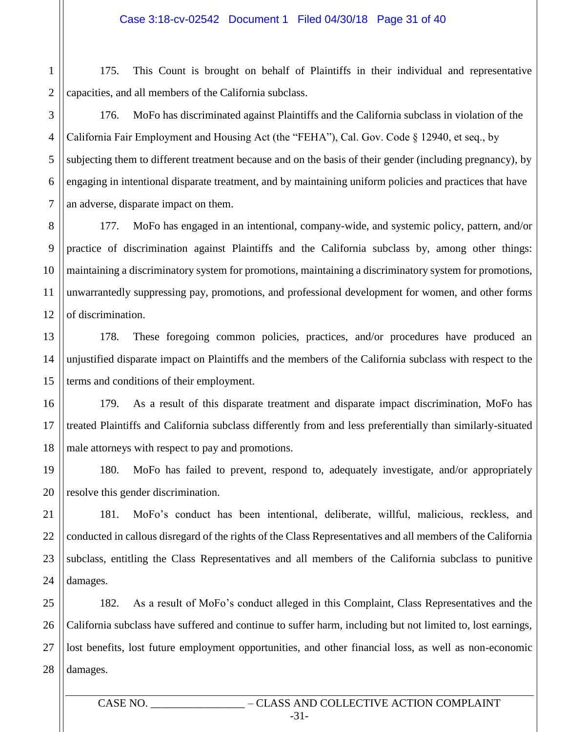1 2 175. This Count is brought on behalf of Plaintiffs in their individual and representative capacities, and all members of the California subclass.

176. MoFo has discriminated against Plaintiffs and the California subclass in violation of the California Fair Employment and Housing Act (the "FEHA"), Cal. Gov. Code § 12940, et seq., by subjecting them to different treatment because and on the basis of their gender (including pregnancy), by engaging in intentional disparate treatment, and by maintaining uniform policies and practices that have an adverse, disparate impact on them.

177. MoFo has engaged in an intentional, company-wide, and systemic policy, pattern, and/or practice of discrimination against Plaintiffs and the California subclass by, among other things: maintaining a discriminatory system for promotions, maintaining a discriminatory system for promotions, unwarrantedly suppressing pay, promotions, and professional development for women, and other forms of discrimination.

178. These foregoing common policies, practices, and/or procedures have produced an unjustified disparate impact on Plaintiffs and the members of the California subclass with respect to the terms and conditions of their employment.

179. As a result of this disparate treatment and disparate impact discrimination, MoFo has treated Plaintiffs and California subclass differently from and less preferentially than similarly-situated male attorneys with respect to pay and promotions.

180. MoFo has failed to prevent, respond to, adequately investigate, and/or appropriately resolve this gender discrimination.

181. MoFo's conduct has been intentional, deliberate, willful, malicious, reckless, and conducted in callous disregard of the rights of the Class Representatives and all members of the California subclass, entitling the Class Representatives and all members of the California subclass to punitive damages.

182. As a result of MoFo's conduct alleged in this Complaint, Class Representatives and the California subclass have suffered and continue to suffer harm, including but not limited to, lost earnings, lost benefits, lost future employment opportunities, and other financial loss, as well as non-economic damages.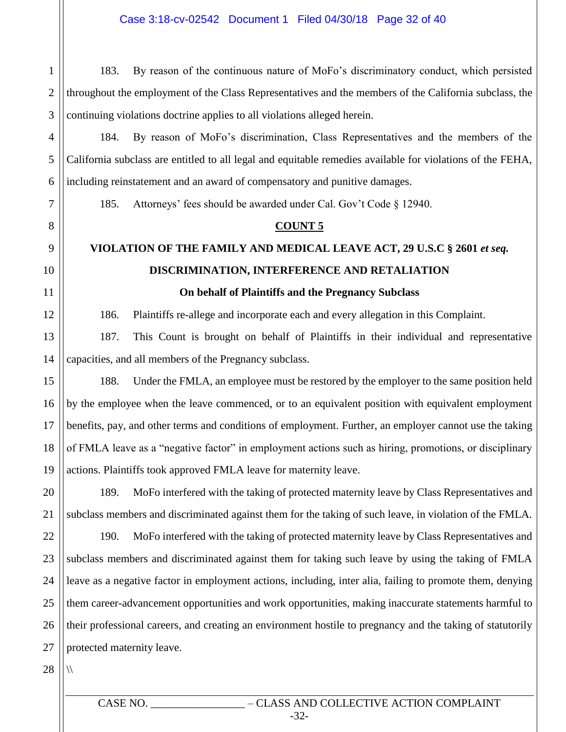2 3 183. By reason of the continuous nature of MoFo's discriminatory conduct, which persisted throughout the employment of the Class Representatives and the members of the California subclass, the continuing violations doctrine applies to all violations alleged herein.

184. By reason of MoFo's discrimination, Class Representatives and the members of the California subclass are entitled to all legal and equitable remedies available for violations of the FEHA, including reinstatement and an award of compensatory and punitive damages.

185. Attorneys' fees should be awarded under Cal. Gov't Code § 12940.

#### **COUNT 5**

## **VIOLATION OF THE FAMILY AND MEDICAL LEAVE ACT, 29 U.S.C § 2601** *et seq.* **DISCRIMINATION, INTERFERENCE AND RETALIATION**

#### **On behalf of Plaintiffs and the Pregnancy Subclass**

186. Plaintiffs re-allege and incorporate each and every allegation in this Complaint.

187. This Count is brought on behalf of Plaintiffs in their individual and representative capacities, and all members of the Pregnancy subclass.

15 16 18 19 188. Under the FMLA, an employee must be restored by the employer to the same position held by the employee when the leave commenced, or to an equivalent position with equivalent employment benefits, pay, and other terms and conditions of employment. Further, an employer cannot use the taking of FMLA leave as a "negative factor" in employment actions such as hiring, promotions, or disciplinary actions. Plaintiffs took approved FMLA leave for maternity leave.

189. MoFo interfered with the taking of protected maternity leave by Class Representatives and subclass members and discriminated against them for the taking of such leave, in violation of the FMLA.

190. MoFo interfered with the taking of protected maternity leave by Class Representatives and subclass members and discriminated against them for taking such leave by using the taking of FMLA leave as a negative factor in employment actions, including, inter alia, failing to promote them, denying them career-advancement opportunities and work opportunities, making inaccurate statements harmful to their professional careers, and creating an environment hostile to pregnancy and the taking of statutorily protected maternity leave.

28

 $\sqrt{}$ 

1

4

5

6

7

8

9

10

11

12

13

14

17

20

21

22

23

24

25

26

27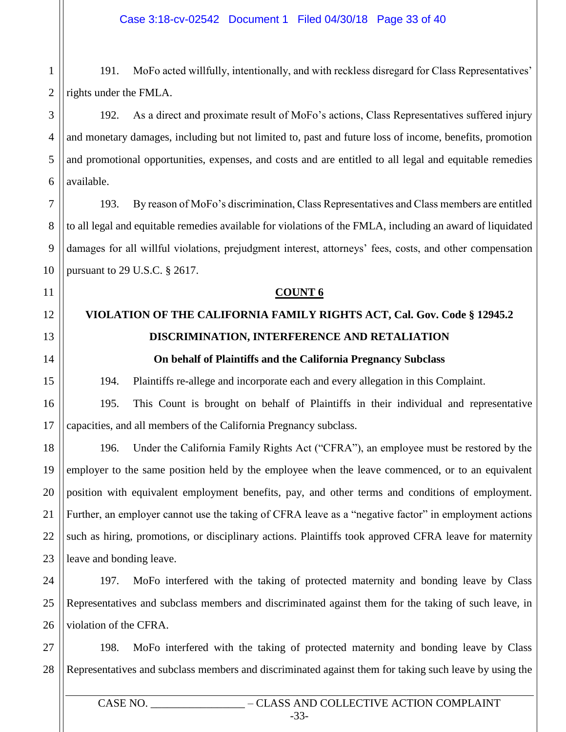191. MoFo acted willfully, intentionally, and with reckless disregard for Class Representatives' rights under the FMLA.

192. As a direct and proximate result of MoFo's actions, Class Representatives suffered injury and monetary damages, including but not limited to, past and future loss of income, benefits, promotion and promotional opportunities, expenses, and costs and are entitled to all legal and equitable remedies available.

193. By reason of MoFo's discrimination, Class Representatives and Class members are entitled to all legal and equitable remedies available for violations of the FMLA, including an award of liquidated damages for all willful violations, prejudgment interest, attorneys' fees, costs, and other compensation pursuant to 29 U.S.C. § 2617.

#### **COUNT 6**

## **VIOLATION OF THE CALIFORNIA FAMILY RIGHTS ACT, Cal. Gov. Code § 12945.2**

# **DISCRIMINATION, INTERFERENCE AND RETALIATION**

#### **On behalf of Plaintiffs and the California Pregnancy Subclass**

194. Plaintiffs re-allege and incorporate each and every allegation in this Complaint.

195. This Count is brought on behalf of Plaintiffs in their individual and representative capacities, and all members of the California Pregnancy subclass.

196. Under the California Family Rights Act ("CFRA"), an employee must be restored by the employer to the same position held by the employee when the leave commenced, or to an equivalent position with equivalent employment benefits, pay, and other terms and conditions of employment. Further, an employer cannot use the taking of CFRA leave as a "negative factor" in employment actions such as hiring, promotions, or disciplinary actions. Plaintiffs took approved CFRA leave for maternity leave and bonding leave.

197. MoFo interfered with the taking of protected maternity and bonding leave by Class Representatives and subclass members and discriminated against them for the taking of such leave, in violation of the CFRA.

198. MoFo interfered with the taking of protected maternity and bonding leave by Class Representatives and subclass members and discriminated against them for taking such leave by using the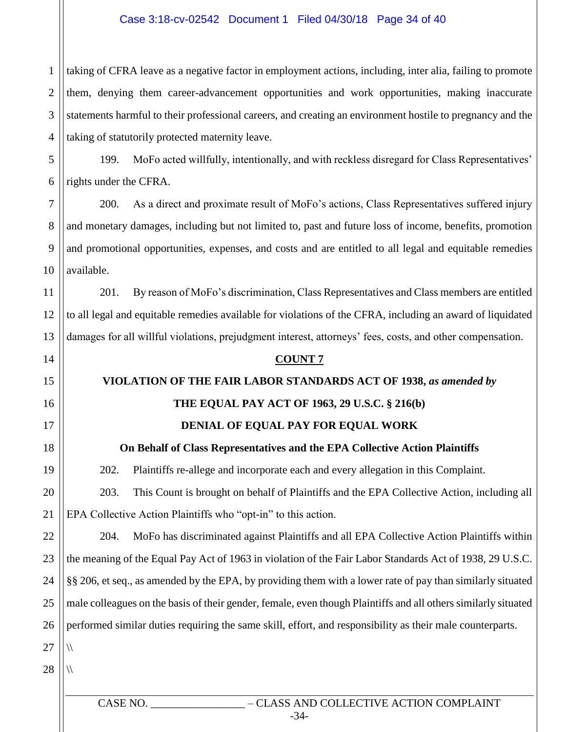#### Case 3:18-cv-02542 Document 1 Filed 04/30/18 Page 34 of 40

1 2 3 4 taking of CFRA leave as a negative factor in employment actions, including, inter alia, failing to promote them, denying them career-advancement opportunities and work opportunities, making inaccurate statements harmful to their professional careers, and creating an environment hostile to pregnancy and the taking of statutorily protected maternity leave.

5 6 199. MoFo acted willfully, intentionally, and with reckless disregard for Class Representatives' rights under the CFRA.

200. As a direct and proximate result of MoFo's actions, Class Representatives suffered injury and monetary damages, including but not limited to, past and future loss of income, benefits, promotion and promotional opportunities, expenses, and costs and are entitled to all legal and equitable remedies available.

12 13 201. By reason of MoFo's discrimination, Class Representatives and Class members are entitled to all legal and equitable remedies available for violations of the CFRA, including an award of liquidated damages for all willful violations, prejudgment interest, attorneys' fees, costs, and other compensation.

#### **COUNT 7**

## **VIOLATION OF THE FAIR LABOR STANDARDS ACT OF 1938,** *as amended by* **THE EQUAL PAY ACT OF 1963, 29 U.S.C. § 216(b)**

#### **DENIAL OF EQUAL PAY FOR EQUAL WORK**

#### **On Behalf of Class Representatives and the EPA Collective Action Plaintiffs**

202. Plaintiffs re-allege and incorporate each and every allegation in this Complaint.

20 21 203. This Count is brought on behalf of Plaintiffs and the EPA Collective Action, including all EPA Collective Action Plaintiffs who "opt-in" to this action.

22 23 24 25 26 204. MoFo has discriminated against Plaintiffs and all EPA Collective Action Plaintiffs within the meaning of the Equal Pay Act of 1963 in violation of the Fair Labor Standards Act of 1938, 29 U.S.C. §§ 206, et seq., as amended by the EPA, by providing them with a lower rate of pay than similarly situated male colleagues on the basis of their gender, female, even though Plaintiffs and all others similarly situated performed similar duties requiring the same skill, effort, and responsibility as their male counterparts.

27

 $\sqrt{ }$ 

 $\sqrt{}$ 

7

8

9

10

11

14

15

16

17

18

19

28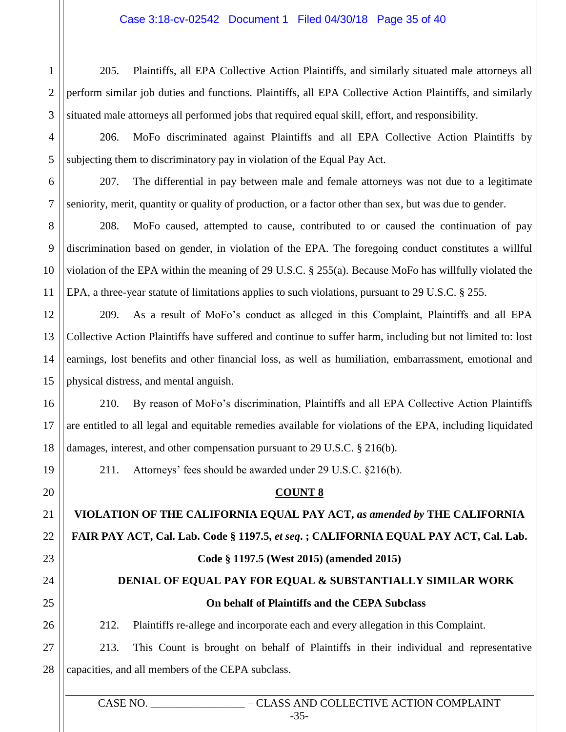1

2

4

5

8

9

10

11

12

13

14

15

17

18

19

20

21

22

23

24

25

26

3 205. Plaintiffs, all EPA Collective Action Plaintiffs, and similarly situated male attorneys all perform similar job duties and functions. Plaintiffs, all EPA Collective Action Plaintiffs, and similarly situated male attorneys all performed jobs that required equal skill, effort, and responsibility.

206. MoFo discriminated against Plaintiffs and all EPA Collective Action Plaintiffs by subjecting them to discriminatory pay in violation of the Equal Pay Act.

6 7 207. The differential in pay between male and female attorneys was not due to a legitimate seniority, merit, quantity or quality of production, or a factor other than sex, but was due to gender.

208. MoFo caused, attempted to cause, contributed to or caused the continuation of pay discrimination based on gender, in violation of the EPA. The foregoing conduct constitutes a willful violation of the EPA within the meaning of 29 U.S.C. § 255(a). Because MoFo has willfully violated the EPA, a three-year statute of limitations applies to such violations, pursuant to 29 U.S.C. § 255.

209. As a result of MoFo's conduct as alleged in this Complaint, Plaintiffs and all EPA Collective Action Plaintiffs have suffered and continue to suffer harm, including but not limited to: lost earnings, lost benefits and other financial loss, as well as humiliation, embarrassment, emotional and physical distress, and mental anguish.

16 210. By reason of MoFo's discrimination, Plaintiffs and all EPA Collective Action Plaintiffs are entitled to all legal and equitable remedies available for violations of the EPA, including liquidated damages, interest, and other compensation pursuant to 29 U.S.C. § 216(b).

211. Attorneys' fees should be awarded under 29 U.S.C. §216(b).

#### **COUNT 8**

**VIOLATION OF THE CALIFORNIA EQUAL PAY ACT,** *as amended by* **THE CALIFORNIA FAIR PAY ACT, Cal. Lab. Code § 1197.5,** *et seq***. ; CALIFORNIA EQUAL PAY ACT, Cal. Lab. Code § 1197.5 (West 2015) (amended 2015)**

## **DENIAL OF EQUAL PAY FOR EQUAL & SUBSTANTIALLY SIMILAR WORK**

## **On behalf of Plaintiffs and the CEPA Subclass**

212. Plaintiffs re-allege and incorporate each and every allegation in this Complaint.

27 28 213. This Count is brought on behalf of Plaintiffs in their individual and representative capacities, and all members of the CEPA subclass.

CASE NO.  $-CLASS AND COLLECTIVE ACTION COMPLAINT$ -35-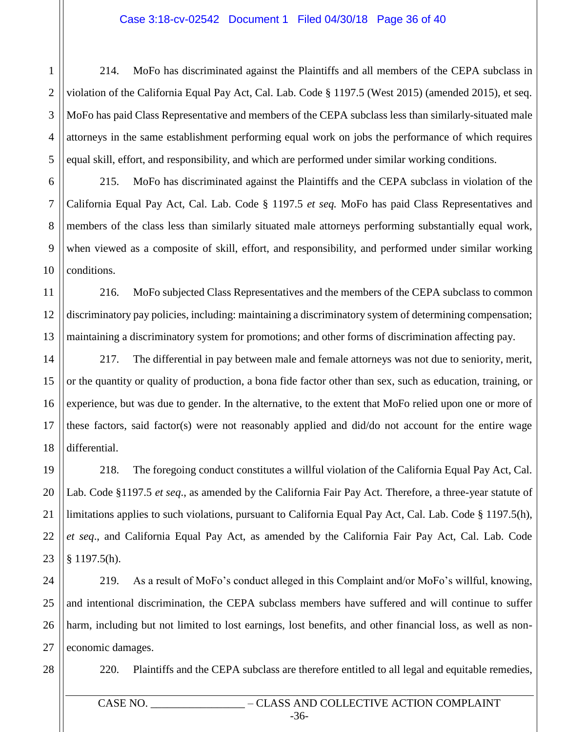214. MoFo has discriminated against the Plaintiffs and all members of the CEPA subclass in violation of the California Equal Pay Act, Cal. Lab. Code § 1197.5 (West 2015) (amended 2015), et seq. MoFo has paid Class Representative and members of the CEPA subclass less than similarly-situated male attorneys in the same establishment performing equal work on jobs the performance of which requires equal skill, effort, and responsibility, and which are performed under similar working conditions.

6 8 9 10 215. MoFo has discriminated against the Plaintiffs and the CEPA subclass in violation of the California Equal Pay Act, Cal. Lab. Code § 1197.5 *et seq.* MoFo has paid Class Representatives and members of the class less than similarly situated male attorneys performing substantially equal work, when viewed as a composite of skill, effort, and responsibility, and performed under similar working conditions.

11 12 13 216. MoFo subjected Class Representatives and the members of the CEPA subclass to common discriminatory pay policies, including: maintaining a discriminatory system of determining compensation; maintaining a discriminatory system for promotions; and other forms of discrimination affecting pay.

14 15 16 17 18 217. The differential in pay between male and female attorneys was not due to seniority, merit, or the quantity or quality of production, a bona fide factor other than sex, such as education, training, or experience, but was due to gender. In the alternative, to the extent that MoFo relied upon one or more of these factors, said factor(s) were not reasonably applied and did/do not account for the entire wage differential.

19 20 21 22 23 218. The foregoing conduct constitutes a willful violation of the California Equal Pay Act, Cal. Lab. Code §1197.5 *et seq*., as amended by the California Fair Pay Act. Therefore, a three-year statute of limitations applies to such violations, pursuant to California Equal Pay Act, Cal. Lab. Code § 1197.5(h), *et seq*., and California Equal Pay Act, as amended by the California Fair Pay Act, Cal. Lab. Code § 1197.5(h).

24 25 26 27 219. As a result of MoFo's conduct alleged in this Complaint and/or MoFo's willful, knowing, and intentional discrimination, the CEPA subclass members have suffered and will continue to suffer harm, including but not limited to lost earnings, lost benefits, and other financial loss, as well as noneconomic damages.

28

1

2

3

4

5

7

220. Plaintiffs and the CEPA subclass are therefore entitled to all legal and equitable remedies,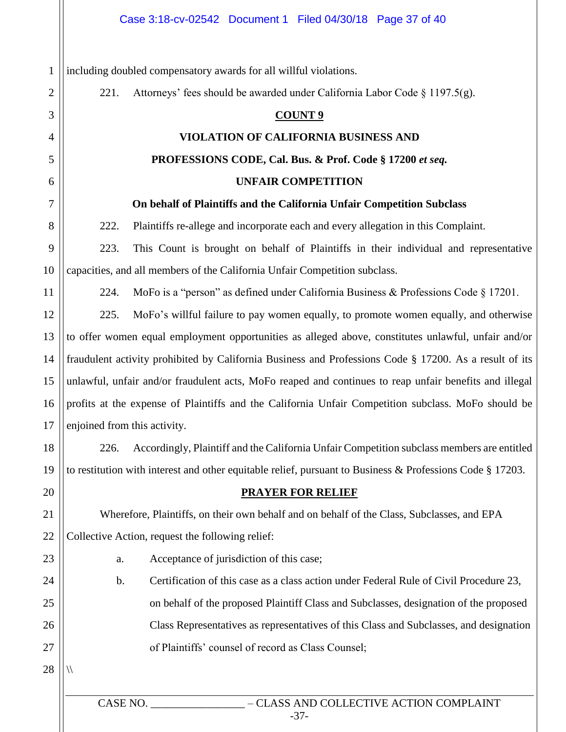#### Case 3:18-cv-02542 Document 1 Filed 04/30/18 Page 37 of 40

including doubled compensatory awards for all willful violations.

221. Attorneys' fees should be awarded under California Labor Code  $\S 1197.5(g)$ .

#### **COUNT 9**

#### **VIOLATION OF CALIFORNIA BUSINESS AND**

#### **PROFESSIONS CODE, Cal. Bus. & Prof. Code § 17200** *et seq.*

#### **UNFAIR COMPETITION**

#### **On behalf of Plaintiffs and the California Unfair Competition Subclass**

222. Plaintiffs re-allege and incorporate each and every allegation in this Complaint.

9 10 223. This Count is brought on behalf of Plaintiffs in their individual and representative capacities, and all members of the California Unfair Competition subclass.

224. MoFo is a "person" as defined under California Business & Professions Code § 17201.

12 13 14 15 16 17 225. MoFo's willful failure to pay women equally, to promote women equally, and otherwise to offer women equal employment opportunities as alleged above, constitutes unlawful, unfair and/or fraudulent activity prohibited by California Business and Professions Code § 17200. As a result of its unlawful, unfair and/or fraudulent acts, MoFo reaped and continues to reap unfair benefits and illegal profits at the expense of Plaintiffs and the California Unfair Competition subclass. MoFo should be enjoined from this activity.

18

19

20

21

22

23

24

25

26

27

28

 $\sqrt{}$ 

1

2

3

4

5

6

7

8

11

226. Accordingly, Plaintiff and the California Unfair Competition subclass members are entitled to restitution with interest and other equitable relief, pursuant to Business & Professions Code § 17203.

**PRAYER FOR RELIEF**

Wherefore, Plaintiffs, on their own behalf and on behalf of the Class, Subclasses, and EPA Collective Action, request the following relief:

a. Acceptance of jurisdiction of this case;

b. Certification of this case as a class action under Federal Rule of Civil Procedure 23, on behalf of the proposed Plaintiff Class and Subclasses, designation of the proposed Class Representatives as representatives of this Class and Subclasses, and designation of Plaintiffs' counsel of record as Class Counsel;

CASE NO.  $-CLASS AND COLLECTIVE ACTION COMPLAINT$ -37-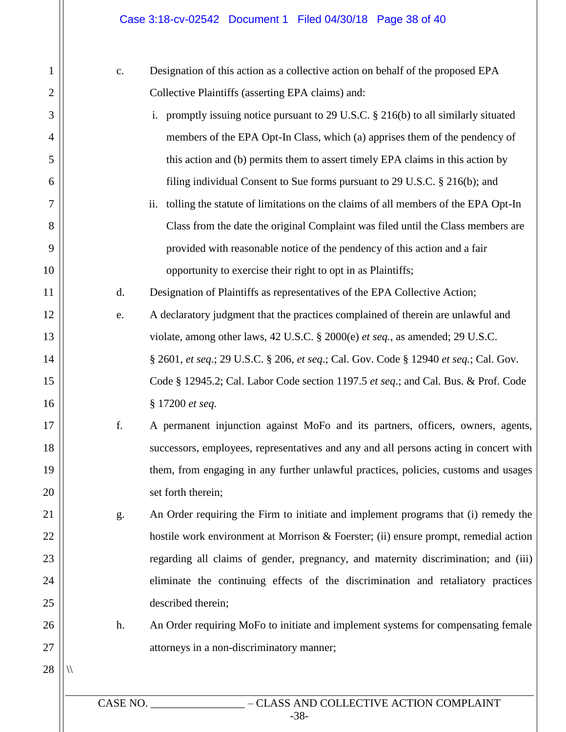| 1              | $\mathbf{c}$ .                                    | Designation of this action as a collective action on behalf of the proposed EPA                       |  |  |  |
|----------------|---------------------------------------------------|-------------------------------------------------------------------------------------------------------|--|--|--|
| $\overline{2}$ | Collective Plaintiffs (asserting EPA claims) and: |                                                                                                       |  |  |  |
| 3              |                                                   | $\mathbf{i}$ .<br>promptly issuing notice pursuant to 29 U.S.C. $\S$ 216(b) to all similarly situated |  |  |  |
| $\overline{4}$ |                                                   | members of the EPA Opt-In Class, which (a) apprises them of the pendency of                           |  |  |  |
| 5              |                                                   | this action and (b) permits them to assert timely EPA claims in this action by                        |  |  |  |
| 6              |                                                   | filing individual Consent to Sue forms pursuant to 29 U.S.C. § 216(b); and                            |  |  |  |
| 7              |                                                   | ii.<br>tolling the statute of limitations on the claims of all members of the EPA Opt-In              |  |  |  |
| 8              |                                                   | Class from the date the original Complaint was filed until the Class members are                      |  |  |  |
| 9              |                                                   | provided with reasonable notice of the pendency of this action and a fair                             |  |  |  |
| 10             |                                                   | opportunity to exercise their right to opt in as Plaintiffs;                                          |  |  |  |
| 11             | d.                                                | Designation of Plaintiffs as representatives of the EPA Collective Action;                            |  |  |  |
| 12             | e.                                                | A declaratory judgment that the practices complained of therein are unlawful and                      |  |  |  |
| 13             |                                                   | violate, among other laws, 42 U.S.C. § 2000(e) et seq., as amended; 29 U.S.C.                         |  |  |  |
| 14             |                                                   | § 2601, et seq.; 29 U.S.C. § 206, et seq.; Cal. Gov. Code § 12940 et seq.; Cal. Gov.                  |  |  |  |
| 15             |                                                   | Code § 12945.2; Cal. Labor Code section 1197.5 et seq.; and Cal. Bus. & Prof. Code                    |  |  |  |
| 16             |                                                   | § 17200 et seq.                                                                                       |  |  |  |
| 17             | f.                                                | A permanent injunction against MoFo and its partners, officers, owners, agents,                       |  |  |  |
| 18             |                                                   | successors, employees, representatives and any and all persons acting in concert with                 |  |  |  |
| 19             |                                                   | them, from engaging in any further unlawful practices, policies, customs and usages                   |  |  |  |
| 20             |                                                   | set forth therein;                                                                                    |  |  |  |
| 21             | g.                                                | An Order requiring the Firm to initiate and implement programs that (i) remedy the                    |  |  |  |
| 22             |                                                   | hostile work environment at Morrison & Foerster; (ii) ensure prompt, remedial action                  |  |  |  |
| 23             |                                                   | regarding all claims of gender, pregnancy, and maternity discrimination; and (iii)                    |  |  |  |
| 24             |                                                   | eliminate the continuing effects of the discrimination and retaliatory practices                      |  |  |  |
| 25             |                                                   | described therein;                                                                                    |  |  |  |
| 26             | h.                                                | An Order requiring MoFo to initiate and implement systems for compensating female                     |  |  |  |
| 27             |                                                   | attorneys in a non-discriminatory manner;                                                             |  |  |  |
| 28             |                                                   |                                                                                                       |  |  |  |
|                | CASE NO.                                          | - CLASS AND COLLECTIVE ACTION COMPLAINT                                                               |  |  |  |
|                |                                                   |                                                                                                       |  |  |  |

-38-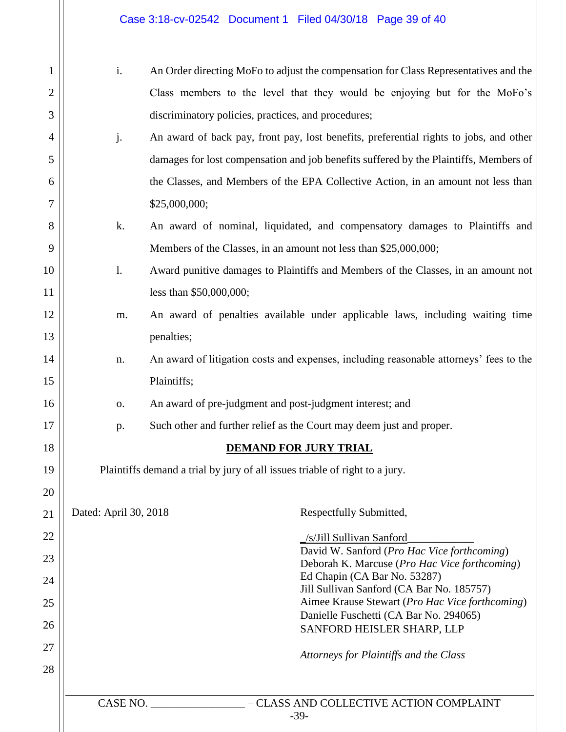## Case 3:18-cv-02542 Document 1 Filed 04/30/18 Page 39 of 40

| 1  | i.                           | An Order directing MoFo to adjust the compensation for Class Representatives and the         |  |  |  |  |
|----|------------------------------|----------------------------------------------------------------------------------------------|--|--|--|--|
| 2  |                              | Class members to the level that they would be enjoying but for the MoFo's                    |  |  |  |  |
| 3  |                              | discriminatory policies, practices, and procedures;                                          |  |  |  |  |
| 4  | j.                           | An award of back pay, front pay, lost benefits, preferential rights to jobs, and other       |  |  |  |  |
| 5  |                              | damages for lost compensation and job benefits suffered by the Plaintiffs, Members of        |  |  |  |  |
| 6  |                              | the Classes, and Members of the EPA Collective Action, in an amount not less than            |  |  |  |  |
| 7  |                              | \$25,000,000;                                                                                |  |  |  |  |
| 8  | k.                           | An award of nominal, liquidated, and compensatory damages to Plaintiffs and                  |  |  |  |  |
| 9  |                              | Members of the Classes, in an amount not less than \$25,000,000;                             |  |  |  |  |
| 10 | $\mathbf{l}$ .               | Award punitive damages to Plaintiffs and Members of the Classes, in an amount not            |  |  |  |  |
| 11 |                              | less than \$50,000,000;                                                                      |  |  |  |  |
| 12 | m.                           | An award of penalties available under applicable laws, including waiting time                |  |  |  |  |
| 13 |                              | penalties;                                                                                   |  |  |  |  |
| 14 | n.                           | An award of litigation costs and expenses, including reasonable attorneys' fees to the       |  |  |  |  |
| 15 |                              | Plaintiffs;                                                                                  |  |  |  |  |
| 16 | 0.                           | An award of pre-judgment and post-judgment interest; and                                     |  |  |  |  |
| 17 | p.                           | Such other and further relief as the Court may deem just and proper.                         |  |  |  |  |
| 18 | <b>DEMAND FOR JURY TRIAL</b> |                                                                                              |  |  |  |  |
| 19 |                              | Plaintiffs demand a trial by jury of all issues triable of right to a jury.                  |  |  |  |  |
| 20 |                              |                                                                                              |  |  |  |  |
| 21 | Dated: April 30, 2018        | Respectfully Submitted,                                                                      |  |  |  |  |
| 22 |                              | /s/Jill Sullivan Sanford                                                                     |  |  |  |  |
| 23 |                              | David W. Sanford (Pro Hac Vice forthcoming)<br>Deborah K. Marcuse (Pro Hac Vice forthcoming) |  |  |  |  |
| 24 |                              | Ed Chapin (CA Bar No. 53287)<br>Jill Sullivan Sanford (CA Bar No. 185757)                    |  |  |  |  |
| 25 |                              | Aimee Krause Stewart (Pro Hac Vice forthcoming)                                              |  |  |  |  |
| 26 |                              | Danielle Fuschetti (CA Bar No. 294065)<br>SANFORD HEISLER SHARP, LLP                         |  |  |  |  |
| 27 |                              |                                                                                              |  |  |  |  |
| 28 |                              | Attorneys for Plaintiffs and the Class                                                       |  |  |  |  |
|    |                              |                                                                                              |  |  |  |  |
|    | CASE NO.                     | - CLASS AND COLLECTIVE ACTION COMPLAINT<br>$-39-$                                            |  |  |  |  |